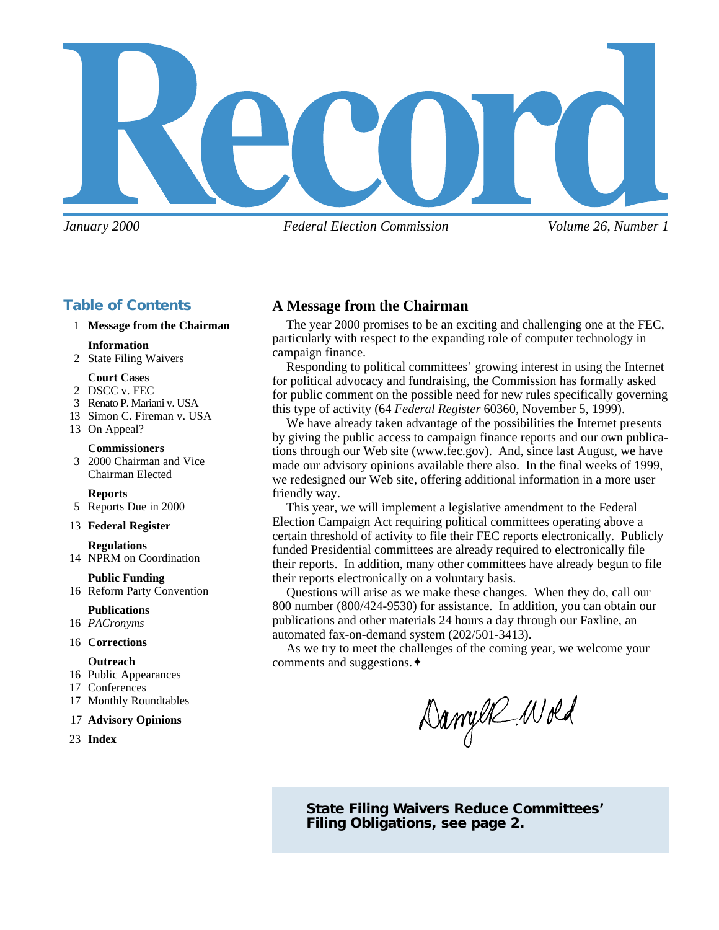

*January 2000 Federal Election Commission Volume 26, Number 1*

# **Table of Contents**

### 1 **Message from the Chairman**

#### **Information**

2 State Filing Waivers

### **Court Cases**

- 2 DSCC v. FEC
- 3 Renato P. Mariani v. USA
- 13 Simon C. Fireman v. USA
- 13 On Appeal?

**Commissioners** 3 2000 Chairman and Vice Chairman Elected

**Reports**

5 Reports Due in 2000

#### 13 **Federal Register**

**Regulations** 14 NPRM on Coordination

# **Public Funding**

16 Reform Party Convention

#### **Publications**

16 *PACronyms*

#### 16 **Corrections**

### **Outreach**

- 16 Public Appearances
- 17 Conferences
- 17 Monthly Roundtables

#### 17 **Advisory Opinions**

23 **Index**

# **A Message from the Chairman**

The year 2000 promises to be an exciting and challenging one at the FEC, particularly with respect to the expanding role of computer technology in campaign finance.

Responding to political committees' growing interest in using the Internet for political advocacy and fundraising, the Commission has formally asked for public comment on the possible need for new rules specifically governing this type of activity (64 *Federal Register* 60360, November 5, 1999).

We have already taken advantage of the possibilities the Internet presents by giving the public access to campaign finance reports and our own publications through our Web site (www.fec.gov). And, since last August, we have made our advisory opinions available there also. In the final weeks of 1999, we redesigned our Web site, offering additional information in a more user friendly way.

This year, we will implement a legislative amendment to the Federal Election Campaign Act requiring political committees operating above a certain threshold of activity to file their FEC reports electronically. Publicly funded Presidential committees are already required to electronically file their reports. In addition, many other committees have already begun to file their reports electronically on a voluntary basis.

Questions will arise as we make these changes. When they do, call our 800 number (800/424-9530) for assistance. In addition, you can obtain our publications and other materials 24 hours a day through our Faxline, an automated fax-on-demand system (202/501-3413).

As we try to meet the challenges of the coming year, we welcome your comments and suggestions.✦

Danyer Wold

**State Filing Waivers Reduce Committees' Filing Obligations, see page 2.**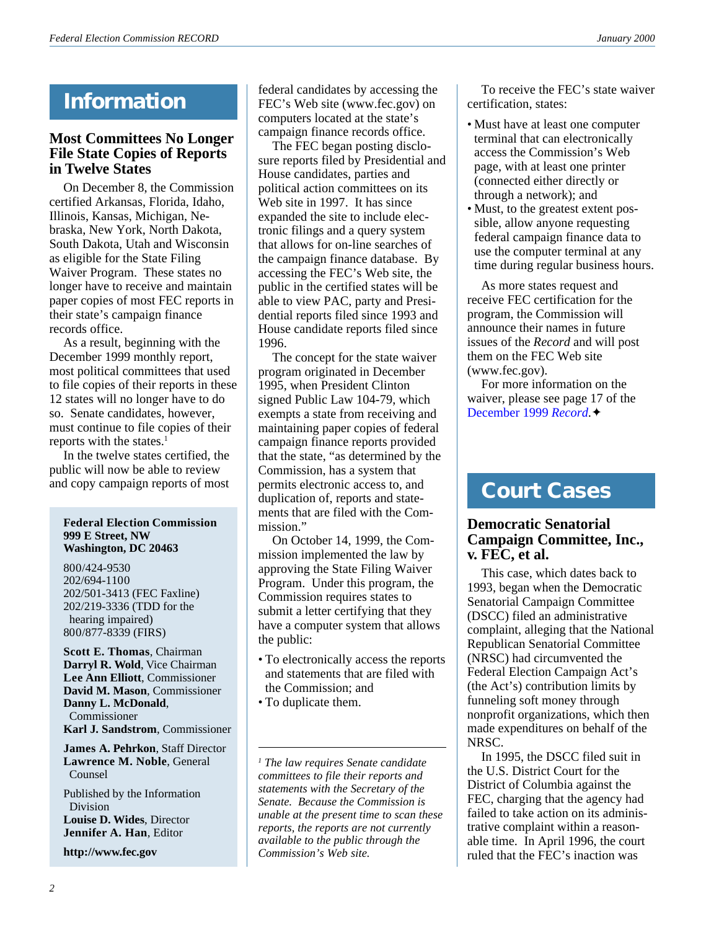# **Information**

# **Most Committees No Longer File State Copies of Reports in Twelve States**

On December 8, the Commission certified Arkansas, Florida, Idaho, Illinois, Kansas, Michigan, Nebraska, New York, North Dakota, South Dakota, Utah and Wisconsin as eligible for the State Filing Waiver Program. These states no longer have to receive and maintain paper copies of most FEC reports in their state's campaign finance records office.

As a result, beginning with the December 1999 monthly report, most political committees that used to file copies of their reports in these 12 states will no longer have to do so. Senate candidates, however, must continue to file copies of their reports with the states.<sup>1</sup>

In the twelve states certified, the public will now be able to review and copy campaign reports of most

#### **Federal Election Commission 999 E Street, NW Washington, DC 20463**

800/424-9530 202/694-1100 202/501-3413 (FEC Faxline) 202/219-3336 (TDD for the hearing impaired) 800/877-8339 (FIRS)

**Scott E. Thomas**, Chairman **Darryl R. Wold**, Vice Chairman **Lee Ann Elliott**, Commissioner **David M. Mason**, Commissioner **Danny L. McDonald**, Commissioner **Karl J. Sandstrom**, Commissioner

**James A. Pehrkon**, Staff Director **Lawrence M. Noble**, General Counsel

Published by the Information Division **Louise D. Wides**, Director

**Jennifer A. Han**, Editor

**http://www.fec.gov**

federal candidates by accessing the FEC's Web site (www.fec.gov) on computers located at the state's campaign finance records office.

The FEC began posting disclosure reports filed by Presidential and House candidates, parties and political action committees on its Web site in 1997. It has since expanded the site to include electronic filings and a query system that allows for on-line searches of the campaign finance database. By accessing the FEC's Web site, the public in the certified states will be able to view PAC, party and Presidential reports filed since 1993 and House candidate reports filed since 1996.

The concept for the state waiver program originated in December 1995, when President Clinton signed Public Law 104-79, which exempts a state from receiving and maintaining paper copies of federal campaign finance reports provided that the state, "as determined by the Commission, has a system that permits electronic access to, and duplication of, reports and statements that are filed with the Commission."

On October 14, 1999, the Commission implemented the law by approving the State Filing Waiver Program. Under this program, the Commission requires states to submit a letter certifying that they have a computer system that allows the public:

- To electronically access the reports and statements that are filed with the Commission; and
- To duplicate them.

To receive the FEC's state waiver certification, states:

- Must have at least one computer terminal that can electronically access the Commission's Web page, with at least one printer (connected either directly or through a network); and
- Must, to the greatest extent possible, allow anyone requesting federal campaign finance data to use the computer terminal at any time during regular business hours.

As more states request and receive FEC certification for the program, the Commission will announce their names in future issues of the *Record* and will post them on the FEC Web site (www.fec.gov).

For more information on the waiver, please see page 17 of the [December 1999](http://www.fec.gov/pdf/dec99.pdf) *Record*.✦

# **Court Cases**

# **Democratic Senatorial Campaign Committee, Inc., v. FEC, et al.**

This case, which dates back to 1993, began when the Democratic Senatorial Campaign Committee (DSCC) filed an administrative complaint, alleging that the National Republican Senatorial Committee (NRSC) had circumvented the Federal Election Campaign Act's (the Act's) contribution limits by funneling soft money through nonprofit organizations, which then made expenditures on behalf of the NRSC.

In 1995, the DSCC filed suit in the U.S. District Court for the District of Columbia against the FEC, charging that the agency had failed to take action on its administrative complaint within a reasonable time. In April 1996, the court ruled that the FEC's inaction was

*<sup>1</sup> The law requires Senate candidate committees to file their reports and statements with the Secretary of the Senate. Because the Commission is unable at the present time to scan these reports, the reports are not currently available to the public through the Commission's Web site.*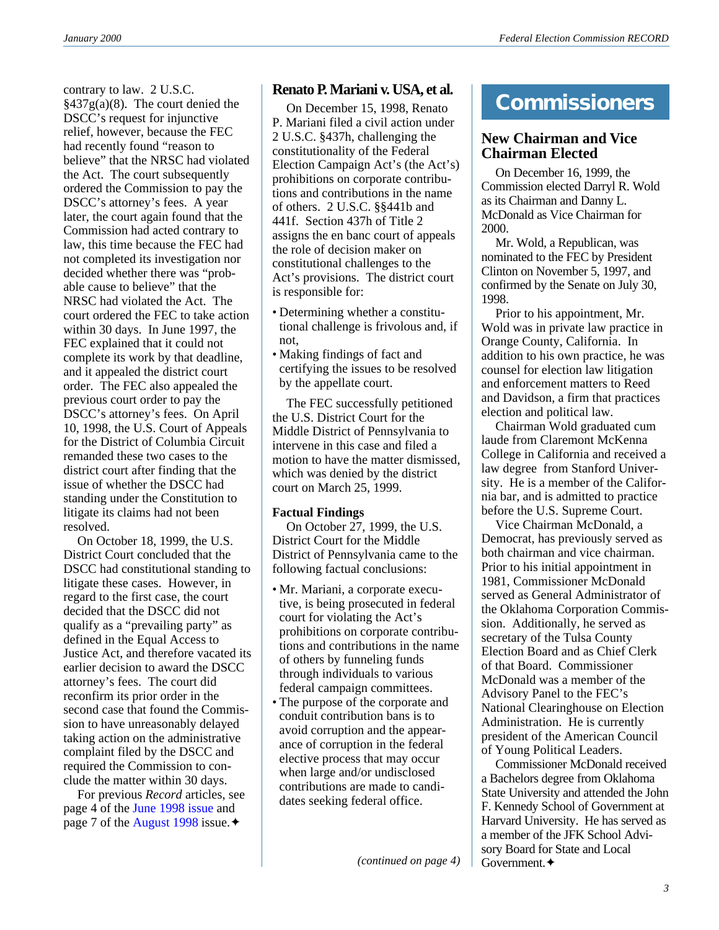contrary to law. 2 U.S.C.  $§437g(a)(8)$ . The court denied the DSCC's request for injunctive relief, however, because the FEC had recently found "reason to believe" that the NRSC had violated the Act. The court subsequently ordered the Commission to pay the DSCC's attorney's fees. A year later, the court again found that the Commission had acted contrary to law, this time because the FEC had not completed its investigation nor decided whether there was "probable cause to believe" that the NRSC had violated the Act. The court ordered the FEC to take action within 30 days. In June 1997, the FEC explained that it could not complete its work by that deadline, and it appealed the district court order. The FEC also appealed the previous court order to pay the DSCC's attorney's fees. On April 10, 1998, the U.S. Court of Appeals for the District of Columbia Circuit remanded these two cases to the district court after finding that the issue of whether the DSCC had standing under the Constitution to litigate its claims had not been resolved.

On October 18, 1999, the U.S. District Court concluded that the DSCC had constitutional standing to litigate these cases. However, in regard to the first case, the court decided that the DSCC did not qualify as a "prevailing party" as defined in the Equal Access to Justice Act, and therefore vacated its earlier decision to award the DSCC attorney's fees. The court did reconfirm its prior order in the second case that found the Commission to have unreasonably delayed taking action on the administrative complaint filed by the DSCC and required the Commission to conclude the matter within 30 days.

For previous *Record* articles, see page 4 of the [June 1998 issue](http://www.fec.gov/pdf/june98.pdf) and page 7 of the [August 1998](http://www.fec.gov/pdf/aug98.pdf) issue.✦

# **Renato P. Mariani v. USA, et al.**

On December 15, 1998, Renato P. Mariani filed a civil action under 2 U.S.C. §437h, challenging the constitutionality of the Federal Election Campaign Act's (the Act's) prohibitions on corporate contributions and contributions in the name of others. 2 U.S.C. §§441b and 441f. Section 437h of Title 2 assigns the en banc court of appeals the role of decision maker on constitutional challenges to the Act's provisions. The district court is responsible for:

- Determining whether a constitutional challenge is frivolous and, if not,
- Making findings of fact and certifying the issues to be resolved by the appellate court.

The FEC successfully petitioned the U.S. District Court for the Middle District of Pennsylvania to intervene in this case and filed a motion to have the matter dismissed, which was denied by the district court on March 25, 1999.

### **Factual Findings**

On October 27, 1999, the U.S. District Court for the Middle District of Pennsylvania came to the following factual conclusions:

- Mr. Mariani, a corporate executive, is being prosecuted in federal court for violating the Act's prohibitions on corporate contributions and contributions in the name of others by funneling funds through individuals to various federal campaign committees.
- The purpose of the corporate and conduit contribution bans is to avoid corruption and the appearance of corruption in the federal elective process that may occur when large and/or undisclosed contributions are made to candidates seeking federal office.

# **Commissioners**

# **New Chairman and Vice Chairman Elected**

On December 16, 1999, the Commission elected Darryl R. Wold as its Chairman and Danny L. McDonald as Vice Chairman for 2000.

Mr. Wold, a Republican, was nominated to the FEC by President Clinton on November 5, 1997, and confirmed by the Senate on July 30, 1998.

Prior to his appointment, Mr. Wold was in private law practice in Orange County, California. In addition to his own practice, he was counsel for election law litigation and enforcement matters to Reed and Davidson, a firm that practices election and political law.

Chairman Wold graduated cum laude from Claremont McKenna College in California and received a law degree from Stanford University. He is a member of the California bar, and is admitted to practice before the U.S. Supreme Court.

Vice Chairman McDonald, a Democrat, has previously served as both chairman and vice chairman. Prior to his initial appointment in 1981, Commissioner McDonald served as General Administrator of the Oklahoma Corporation Commission. Additionally, he served as secretary of the Tulsa County Election Board and as Chief Clerk of that Board. Commissioner McDonald was a member of the Advisory Panel to the FEC's National Clearinghouse on Election Administration. He is currently president of the American Council of Young Political Leaders.

Commissioner McDonald received a Bachelors degree from Oklahoma State University and attended the John F. Kennedy School of Government at Harvard University. He has served as a member of the JFK School Advisory Board for State and Local Government.✦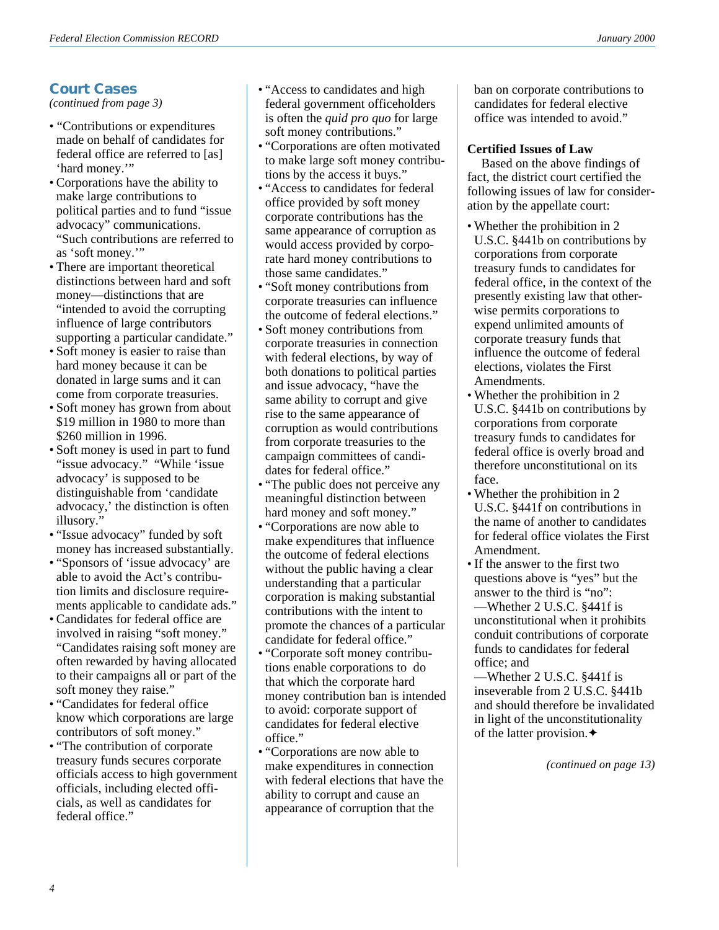# **Court Cases**

*(continued from page 3)*

- "Contributions or expenditures made on behalf of candidates for federal office are referred to [as] 'hard money.'"
- Corporations have the ability to make large contributions to political parties and to fund "issue advocacy" communications. "Such contributions are referred to as 'soft money.'"
- There are important theoretical distinctions between hard and soft money—distinctions that are "intended to avoid the corrupting influence of large contributors supporting a particular candidate."
- Soft money is easier to raise than hard money because it can be donated in large sums and it can come from corporate treasuries.
- Soft money has grown from about \$19 million in 1980 to more than \$260 million in 1996.
- Soft money is used in part to fund "issue advocacy." "While 'issue advocacy' is supposed to be distinguishable from 'candidate advocacy,' the distinction is often illusory."
- "Issue advocacy" funded by soft money has increased substantially.
- "Sponsors of 'issue advocacy' are able to avoid the Act's contribution limits and disclosure requirements applicable to candidate ads."
- Candidates for federal office are involved in raising "soft money." "Candidates raising soft money are often rewarded by having allocated to their campaigns all or part of the soft money they raise."
- "Candidates for federal office know which corporations are large contributors of soft money."
- "The contribution of corporate treasury funds secures corporate officials access to high government officials, including elected officials, as well as candidates for federal office."
- "Access to candidates and high federal government officeholders is often the *quid pro quo* for large soft money contributions."
- "Corporations are often motivated to make large soft money contributions by the access it buys."
- "Access to candidates for federal office provided by soft money corporate contributions has the same appearance of corruption as would access provided by corporate hard money contributions to those same candidates."
- "Soft money contributions from corporate treasuries can influence the outcome of federal elections."
- Soft money contributions from corporate treasuries in connection with federal elections, by way of both donations to political parties and issue advocacy, "have the same ability to corrupt and give rise to the same appearance of corruption as would contributions from corporate treasuries to the campaign committees of candidates for federal office."
- "The public does not perceive any meaningful distinction between hard money and soft money."
- "Corporations are now able to make expenditures that influence the outcome of federal elections without the public having a clear understanding that a particular corporation is making substantial contributions with the intent to promote the chances of a particular candidate for federal office."
- "Corporate soft money contributions enable corporations to do that which the corporate hard money contribution ban is intended to avoid: corporate support of candidates for federal elective office."
- "Corporations are now able to make expenditures in connection with federal elections that have the ability to corrupt and cause an appearance of corruption that the

ban on corporate contributions to candidates for federal elective office was intended to avoid."

### **Certified Issues of Law**

Based on the above findings of fact, the district court certified the following issues of law for consideration by the appellate court:

- Whether the prohibition in 2 U.S.C. §441b on contributions by corporations from corporate treasury funds to candidates for federal office, in the context of the presently existing law that otherwise permits corporations to expend unlimited amounts of corporate treasury funds that influence the outcome of federal elections, violates the First Amendments.
- Whether the prohibition in 2 U.S.C. §441b on contributions by corporations from corporate treasury funds to candidates for federal office is overly broad and therefore unconstitutional on its face.
- Whether the prohibition in 2 U.S.C. §441f on contributions in the name of another to candidates for federal office violates the First Amendment.
- If the answer to the first two questions above is "yes" but the answer to the third is "no": —Whether 2 U.S.C. §441f is unconstitutional when it prohibits conduit contributions of corporate funds to candidates for federal office; and

—Whether 2 U.S.C. §441f is inseverable from 2 U.S.C. §441b and should therefore be invalidated in light of the unconstitutionality of the latter provision.✦

*(continued on page 13)*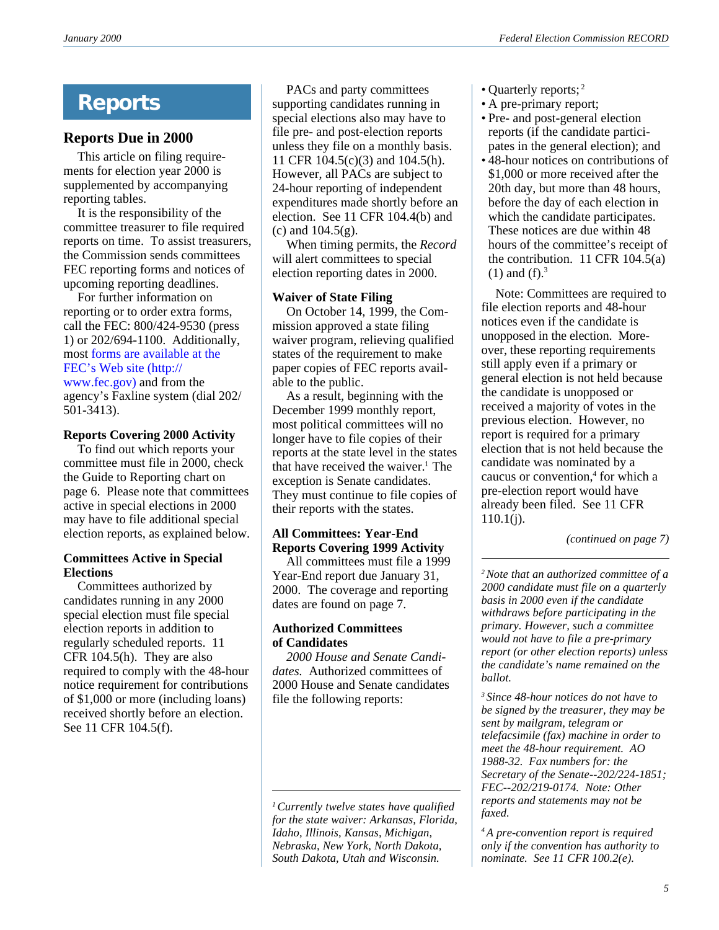# **Reports**

# **Reports Due in 2000**

This article on filing requirements for election year 2000 is supplemented by accompanying reporting tables.

It is the responsibility of the committee treasurer to file required reports on time. To assist treasurers, the Commission sends committees FEC reporting forms and notices of upcoming reporting deadlines.

For further information on reporting or to order extra forms, call the FEC: 800/424-9530 (press 1) or 202/694-1100. Additionally, most [forms are available at the](http://www.fec.gov/reporting.html) [FEC's Web site \(http://](http://www.fec.gov/reporting.html) [www.fec.gov\)](http://www.fec.gov/reporting.html) and from the

agency's Faxline system (dial 202/ 501-3413).

### **Reports Covering 2000 Activity**

To find out which reports your committee must file in 2000, check the Guide to Reporting chart on page 6. Please note that committees active in special elections in 2000 may have to file additional special election reports, as explained below.

### **Committees Active in Special Elections**

Committees authorized by candidates running in any 2000 special election must file special election reports in addition to regularly scheduled reports. 11 CFR 104.5(h). They are also required to comply with the 48-hour notice requirement for contributions of \$1,000 or more (including loans) received shortly before an election. See 11 CFR 104.5(f).

PACs and party committees supporting candidates running in special elections also may have to file pre- and post-election reports unless they file on a monthly basis. 11 CFR 104.5(c)(3) and 104.5(h). However, all PACs are subject to 24-hour reporting of independent expenditures made shortly before an election. See 11 CFR 104.4(b) and (c) and 104.5(g).

When timing permits, the *Record* will alert committees to special election reporting dates in 2000.

### **Waiver of State Filing**

On October 14, 1999, the Commission approved a state filing waiver program, relieving qualified states of the requirement to make paper copies of FEC reports available to the public.

As a result, beginning with the December 1999 monthly report, most political committees will no longer have to file copies of their reports at the state level in the states that have received the waiver. $<sup>1</sup>$  The</sup> exception is Senate candidates. They must continue to file copies of their reports with the states.

### **All Committees: Year-End Reports Covering 1999 Activity**

All committees must file a 1999 Year-End report due January 31, 2000. The coverage and reporting dates are found on page 7.

### **Authorized Committees of Candidates**

*2000 House and Senate Candidates.* Authorized committees of 2000 House and Senate candidates file the following reports:

- Quarterly reports;<sup>2</sup>
- A pre-primary report;
- Pre- and post-general election reports (if the candidate participates in the general election); and
- 48-hour notices on contributions of \$1,000 or more received after the 20th day, but more than 48 hours, before the day of each election in which the candidate participates. These notices are due within 48 hours of the committee's receipt of the contribution.  $11$  CFR  $104.5(a)$  $(1)$  and  $(f).<sup>3</sup>$

Note: Committees are required to file election reports and 48-hour notices even if the candidate is unopposed in the election. Moreover, these reporting requirements still apply even if a primary or general election is not held because the candidate is unopposed or received a majority of votes in the previous election. However, no report is required for a primary election that is not held because the candidate was nominated by a caucus or convention,<sup>4</sup> for which a pre-election report would have already been filed. See 11 CFR  $110.1(i)$ .

*(continued on page 7)*

*2Note that an authorized committee of a 2000 candidate must file on a quarterly basis in 2000 even if the candidate withdraws before participating in the primary. However, such a committee would not have to file a pre-primary report (or other election reports) unless the candidate's name remained on the ballot.*

*3 Since 48-hour notices do not have to be signed by the treasurer, they may be sent by mailgram, telegram or telefacsimile (fax) machine in order to meet the 48-hour requirement. AO 1988-32. Fax numbers for: the Secretary of the Senate--202/224-1851; FEC--202/219-0174. Note: Other reports and statements may not be faxed.*

*4 A pre-convention report is required only if the convention has authority to nominate. See 11 CFR 100.2(e).*

*<sup>1</sup>Currently twelve states have qualified for the state waiver: Arkansas, Florida, Idaho, Illinois, Kansas, Michigan, Nebraska, New York, North Dakota, South Dakota, Utah and Wisconsin.*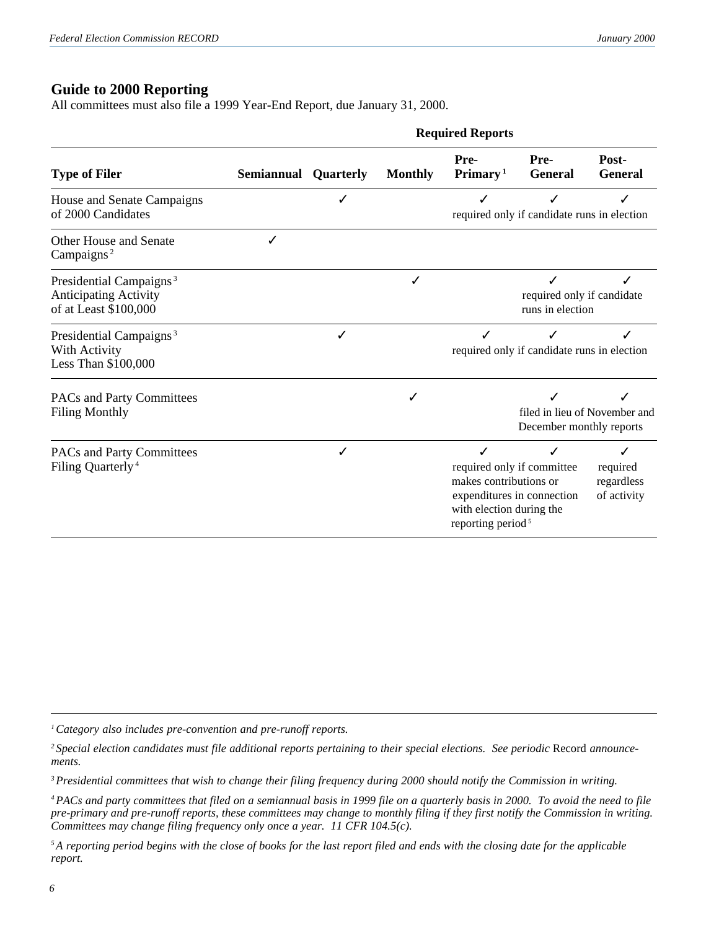# **Guide to 2000 Reporting**

All committees must also file a 1999 Year-End Report, due January 31, 2000.

|                                                                                              | <b>Required Reports</b>     |   |                |                                                                                          |                                                          |                                            |
|----------------------------------------------------------------------------------------------|-----------------------------|---|----------------|------------------------------------------------------------------------------------------|----------------------------------------------------------|--------------------------------------------|
| <b>Type of Filer</b>                                                                         | <b>Semiannual Quarterly</b> |   | <b>Monthly</b> | Pre-<br>Primary <sup>1</sup>                                                             | Pre-<br><b>General</b>                                   | Post-<br><b>General</b>                    |
| House and Senate Campaigns<br>of 2000 Candidates                                             |                             |   |                |                                                                                          | required only if candidate runs in election              |                                            |
| <b>Other House and Senate</b><br>Campaigns <sup>2</sup>                                      |                             |   |                |                                                                                          |                                                          |                                            |
| Presidential Campaigns <sup>3</sup><br><b>Anticipating Activity</b><br>of at Least \$100,000 |                             |   | J              |                                                                                          | required only if candidate<br>runs in election           |                                            |
| Presidential Campaigns <sup>3</sup><br>With Activity<br>Less Than \$100,000                  |                             | ✓ |                | ✓                                                                                        | required only if candidate runs in election              |                                            |
| PACs and Party Committees<br><b>Filing Monthly</b>                                           |                             |   | √              |                                                                                          | December monthly reports                                 | filed in lieu of November and              |
| PACs and Party Committees<br>Filing Quarterly <sup>4</sup>                                   |                             | ✓ |                | ✓<br>makes contributions or<br>with election during the<br>reporting period <sup>5</sup> | required only if committee<br>expenditures in connection | ✓<br>required<br>regardless<br>of activity |

*1Category also includes pre-convention and pre-runoff reports.*

*3Presidential committees that wish to change their filing frequency during 2000 should notify the Commission in writing.*

*4PACs and party committees that filed on a semiannual basis in 1999 file on a quarterly basis in 2000. To avoid the need to file pre-primary and pre-runoff reports, these committees may change to monthly filing if they first notify the Commission in writing. Committees may change filing frequency only once a year. 11 CFR 104.5(c).*

*5A reporting period begins with the close of books for the last report filed and ends with the closing date for the applicable report.*

*<sup>2</sup> Special election candidates must file additional reports pertaining to their special elections. See periodic* Record *announcements.*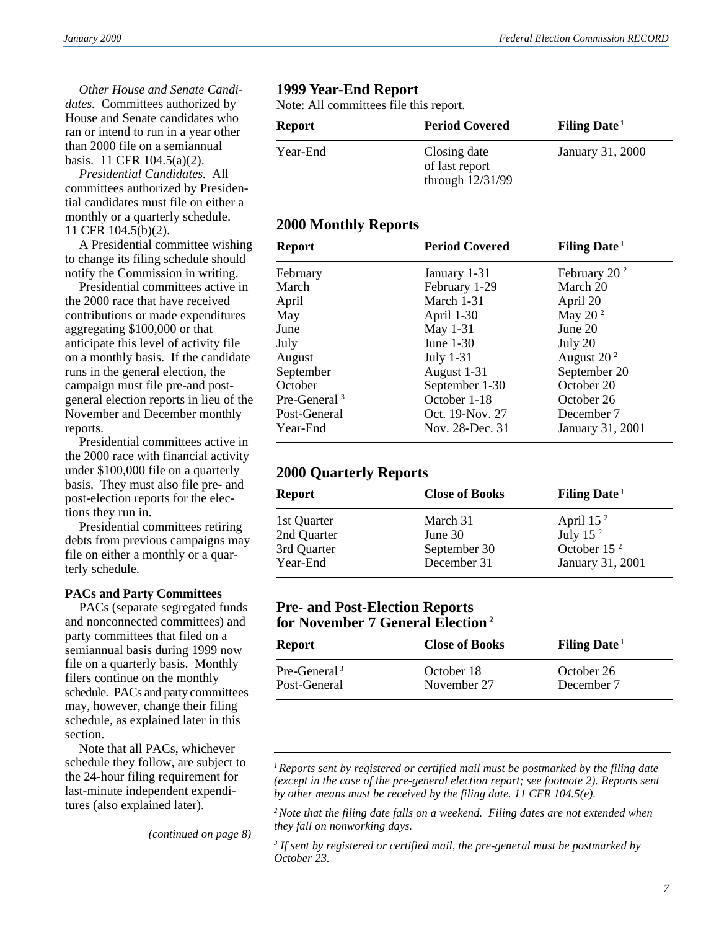*Other House and Senate Candidates.* Committees authorized by House and Senate candidates who ran or intend to run in a year other than 2000 file on a semiannual basis. 11 CFR 104.5(a)(2).

*Presidential Candidates.* All committees authorized by Presidential candidates must file on either a monthly or a quarterly schedule. 11 CFR 104.5(b)(2).

A Presidential committee wishing to change its filing schedule should notify the Commission in writing.

Presidential committees active in the 2000 race that have received contributions or made expenditures aggregating \$100,000 or that anticipate this level of activity file on a monthly basis. If the candidate runs in the general election, the campaign must file pre-and postgeneral election reports in lieu of the November and December monthly reports.

Presidential committees active in the 2000 race with financial activity under \$100,000 file on a quarterly basis. They must also file pre- and post-election reports for the elections they run in.

Presidential committees retiring debts from previous campaigns may file on either a monthly or a quarterly schedule.

### **PACs and Party Committees**

PACs (separate segregated funds and nonconnected committees) and party committees that filed on a semiannual basis during 1999 now file on a quarterly basis. Monthly filers continue on the monthly schedule. PACs and party committees may, however, change their filing schedule, as explained later in this section.

Note that all PACs, whichever schedule they follow, are subject to the 24-hour filing requirement for last-minute independent expenditures (also explained later).

*(continued on page 8)*

### **1999 Year-End Report**

Note: All committees file this report.

| <b>Report</b> | <b>Period Covered</b>                              | Filing Date <sup>1</sup> |
|---------------|----------------------------------------------------|--------------------------|
| Year-End      | Closing date<br>of last report<br>through 12/31/99 | January 31, 2000         |

### **2000 Monthly Reports**

| <b>Report</b>            | <b>Period Covered</b>      | <b>Filing Date</b> <sup>1</sup> |  |  |
|--------------------------|----------------------------|---------------------------------|--|--|
| February                 | January 1-31               | February 20 $^2$                |  |  |
| March                    | February 1-29              | March 20                        |  |  |
| April                    | March 1-31                 | April 20                        |  |  |
| May                      | April 1-30                 | May 20 $2$                      |  |  |
| June                     | May 1-31                   | June 20                         |  |  |
| July                     | June 1-30                  | July 20                         |  |  |
| August                   | July $1-31$                | August $202$                    |  |  |
| September                | August 1-31                | September 20                    |  |  |
| October                  | September 1-30             | October 20                      |  |  |
| Pre-General <sup>3</sup> | October 1-18<br>October 26 |                                 |  |  |
| Post-General             | Oct. 19-Nov. 27            | December 7                      |  |  |
| Year-End                 | Nov. 28-Dec. 31            | January 31, 2001                |  |  |

# **2000 Quarterly Reports**

| <b>Report</b> | <b>Close of Books</b> | Filing Date <sup>1</sup> |
|---------------|-----------------------|--------------------------|
| 1st Quarter   | March 31              | April $152$              |
| 2nd Quarter   | June $301$            | July 15 $2$              |
| 3rd Quarter   | September 30          | October 15 <sup>2</sup>  |
| Year-End      | December 31           | January 31, 2001         |

### **Pre- and Post-Election Reports for November 7 General Election2**

| Report         | <b>Close of Books</b> | Filing Date <sup>1</sup> |
|----------------|-----------------------|--------------------------|
| $Pre-General3$ | October 18            | October 26               |
| Post-General   | November 27           | December 7               |

*1Reports sent by registered or certified mail must be postmarked by the filing date (except in the case of the pre-general election report; see footnote 2). Reports sent by other means must be received by the filing date. 11 CFR 104.5(e).*

*2Note that the filing date falls on a weekend. Filing dates are not extended when they fall on nonworking days.*

*3 If sent by registered or certified mail, the pre-general must be postmarked by October 23.*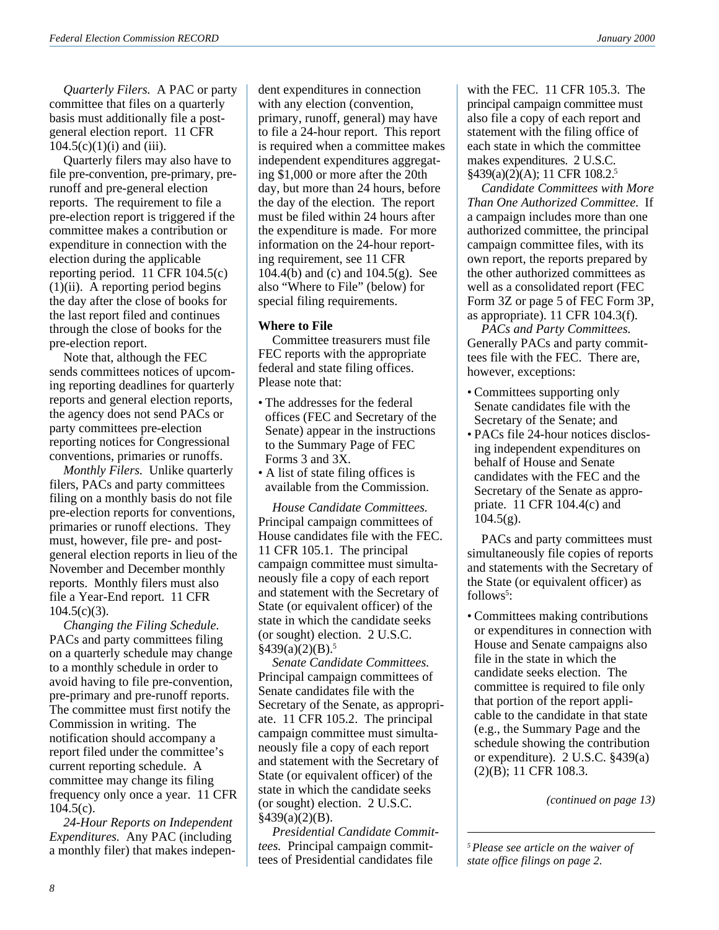*Quarterly Filers.* A PAC or party committee that files on a quarterly basis must additionally file a postgeneral election report. 11 CFR  $104.5(c)(1)(i)$  and (iii).

Quarterly filers may also have to file pre-convention, pre-primary, prerunoff and pre-general election reports. The requirement to file a pre-election report is triggered if the committee makes a contribution or expenditure in connection with the election during the applicable reporting period. 11 CFR 104.5(c)  $(1)(ii)$ . A reporting period begins the day after the close of books for the last report filed and continues through the close of books for the pre-election report.

Note that, although the FEC sends committees notices of upcoming reporting deadlines for quarterly reports and general election reports, the agency does not send PACs or party committees pre-election reporting notices for Congressional conventions, primaries or runoffs.

*Monthly Filers.* Unlike quarterly filers, PACs and party committees filing on a monthly basis do not file pre-election reports for conventions, primaries or runoff elections. They must, however, file pre- and postgeneral election reports in lieu of the November and December monthly reports. Monthly filers must also file a Year-End report. 11 CFR  $104.5(c)(3)$ .

*Changing the Filing Schedule.* PACs and party committees filing on a quarterly schedule may change to a monthly schedule in order to avoid having to file pre-convention, pre-primary and pre-runoff reports. The committee must first notify the Commission in writing. The notification should accompany a report filed under the committee's current reporting schedule. A committee may change its filing frequency only once a year. 11 CFR  $104.5(c)$ .

*24-Hour Reports on Independent Expenditures.* Any PAC (including a monthly filer) that makes independent expenditures in connection with any election (convention, primary, runoff, general) may have to file a 24-hour report. This report is required when a committee makes independent expenditures aggregating \$1,000 or more after the 20th day, but more than 24 hours, before the day of the election. The report must be filed within 24 hours after the expenditure is made. For more information on the 24-hour reporting requirement, see 11 CFR 104.4(b) and (c) and 104.5(g). See also "Where to File" (below) for special filing requirements.

### **Where to File**

Committee treasurers must file FEC reports with the appropriate federal and state filing offices. Please note that:

- The addresses for the federal offices (FEC and Secretary of the Senate) appear in the instructions to the Summary Page of FEC Forms 3 and 3X.
- A list of state filing offices is available from the Commission.

*House Candidate Committees.* Principal campaign committees of House candidates file with the FEC. 11 CFR 105.1. The principal campaign committee must simultaneously file a copy of each report and statement with the Secretary of State (or equivalent officer) of the state in which the candidate seeks (or sought) election. 2 U.S.C.  $§439(a)(2)(B).5$ 

*Senate Candidate Committees.* Principal campaign committees of Senate candidates file with the Secretary of the Senate, as appropriate. 11 CFR 105.2. The principal campaign committee must simultaneously file a copy of each report and statement with the Secretary of State (or equivalent officer) of the state in which the candidate seeks (or sought) election. 2 U.S.C.  $§439(a)(2)(B).$ 

*Presidential Candidate Committees.* Principal campaign committees of Presidential candidates file

with the FEC. 11 CFR 105.3. The principal campaign committee must also file a copy of each report and statement with the filing office of each state in which the committee makes expenditures. 2 U.S.C. §439(a)(2)(A); 11 CFR 108.2.5

*Candidate Committees with More Than One Authorized Committee.* If a campaign includes more than one authorized committee, the principal campaign committee files, with its own report, the reports prepared by the other authorized committees as well as a consolidated report (FEC Form 3Z or page 5 of FEC Form 3P, as appropriate). 11 CFR 104.3(f).

*PACs and Party Committees.* Generally PACs and party committees file with the FEC. There are, however, exceptions:

- Committees supporting only Senate candidates file with the Secretary of the Senate; and
- PACs file 24-hour notices disclosing independent expenditures on behalf of House and Senate candidates with the FEC and the Secretary of the Senate as appropriate. 11 CFR 104.4(c) and  $104.5(g)$ .

PACs and party committees must simultaneously file copies of reports and statements with the Secretary of the State (or equivalent officer) as follows<sup>5</sup>:

• Committees making contributions or expenditures in connection with House and Senate campaigns also file in the state in which the candidate seeks election. The committee is required to file only that portion of the report applicable to the candidate in that state (e.g., the Summary Page and the schedule showing the contribution or expenditure). 2 U.S.C. §439(a) (2)(B); 11 CFR 108.3.

*(continued on page 13)*

*5Please see article on the waiver of state office filings on page 2.*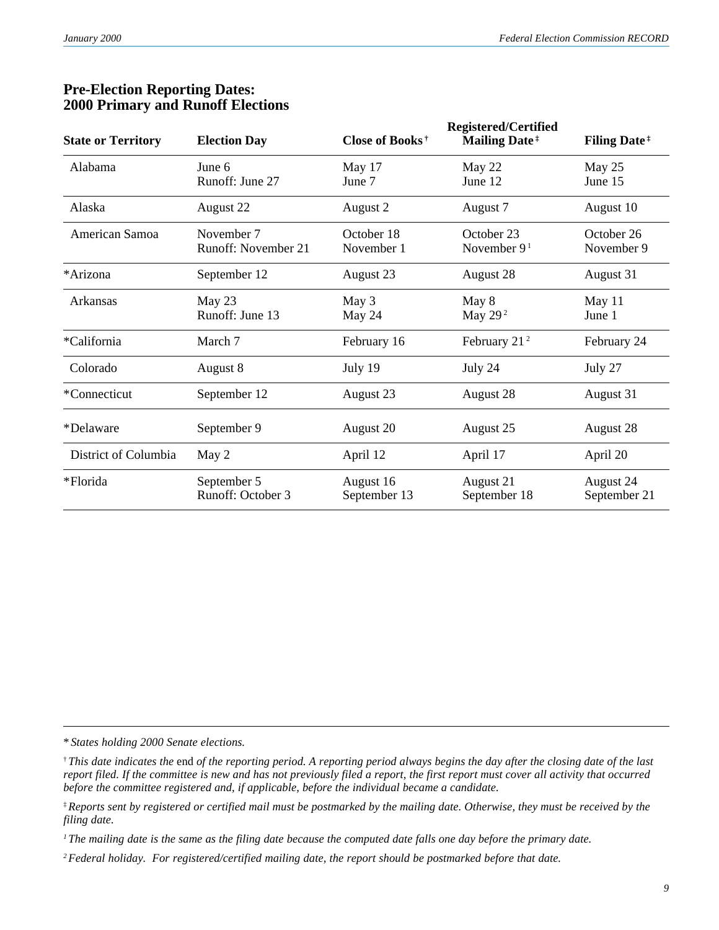| <b>State or Territory</b> | <b>Election Day</b>               | Close of Books <sup>†</sup> | <b>Registered/Certified</b><br><b>Mailing Date</b> <sup>#</sup> | <b>Filing Date</b> <sup>#</sup> |
|---------------------------|-----------------------------------|-----------------------------|-----------------------------------------------------------------|---------------------------------|
| Alabama                   | June 6<br>Runoff: June 27         | May 17<br>June 7            | May 22<br>June 12                                               | May 25<br>June 15               |
| Alaska                    | August 22                         | August 2                    | August 7                                                        | August 10                       |
| American Samoa            | November 7<br>Runoff: November 21 | October 18<br>November 1    | October 23<br>November $91$                                     | October 26<br>November 9        |
| *Arizona                  | September 12                      | August 23                   | August 28                                                       | August 31                       |
| Arkansas                  | May $23$<br>Runoff: June 13       | May 3<br>May 24             | May 8<br>May 29 $2$                                             | May 11<br>June 1                |
| *California               | March 7                           | February 16                 | February 21 <sup>2</sup>                                        | February 24                     |
| Colorado                  | August 8                          | July 19                     | July 24                                                         | July 27                         |
| *Connecticut              | September 12                      | August 23                   | August 28                                                       | August 31                       |
| *Delaware                 | September 9                       | August 20                   | August 25                                                       | August 28                       |
| District of Columbia      | May 2                             | April 12                    | April 17                                                        | April 20                        |
| *Florida                  | September 5<br>Runoff: October 3  | August 16<br>September 13   | August 21<br>September 18                                       | August 24<br>September 21       |

### **Pre-Election Reporting Dates: 2000 Primary and Runoff Elections**

<sup>\*</sup> *States holding 2000 Senate elections.*

<sup>†</sup> *This date indicates the* end *of the reporting period. A reporting period always begins the day after the closing date of the last report filed. If the committee is new and has not previously filed a report, the first report must cover all activity that occurred before the committee registered and, if applicable, before the individual became a candidate.*

<sup>‡</sup>*Reports sent by registered or certified mail must be postmarked by the mailing date. Otherwise, they must be received by the filing date.*

*<sup>1</sup> The mailing date is the same as the filing date because the computed date falls one day before the primary date.*

*<sup>2</sup>Federal holiday. For registered/certified mailing date, the report should be postmarked before that date.*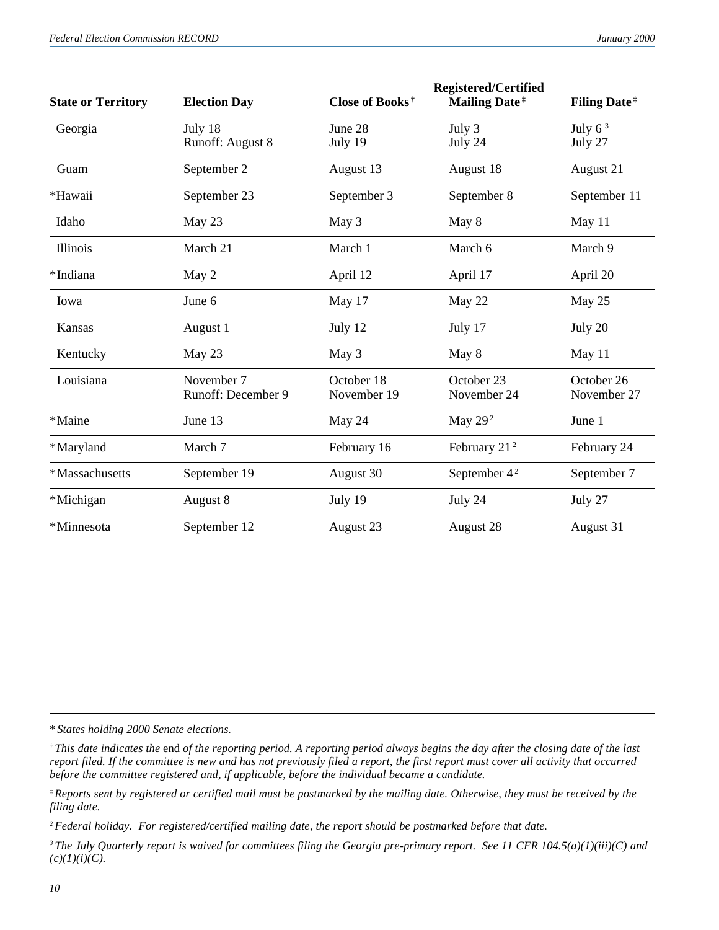| <b>State or Territory</b> | <b>Election Day</b> | Close of Books <sup>†</sup> | <b>Registered/Certified</b><br><b>Mailing Date</b> <sup>#</sup> | <b>Filing Date</b> <sup>#</sup> |
|---------------------------|---------------------|-----------------------------|-----------------------------------------------------------------|---------------------------------|
| Georgia                   | July 18             | June 28                     | July 3                                                          | July $63$                       |
|                           | Runoff: August 8    | July 19                     | July 24                                                         | July 27                         |
| Guam                      | September 2         | August 13                   | August 18                                                       | August 21                       |
| *Hawaii                   | September 23        | September 3                 | September 8                                                     | September 11                    |
| Idaho                     | May 23              | May 3                       | May 8                                                           | May 11                          |
| Illinois                  | March 21            | March 1                     | March 6                                                         | March 9                         |
| *Indiana                  | May 2               | April 12                    | April 17                                                        | April 20                        |
| Iowa                      | June 6              | May 17                      | May 22                                                          | May 25                          |
| Kansas                    | August 1            | July 12                     | July 17                                                         | July 20                         |
| Kentucky                  | May 23              | May 3                       | May 8                                                           | May 11                          |
| Louisiana                 | November 7          | October 18                  | October 23                                                      | October 26                      |
|                           | Runoff: December 9  | November 19                 | November 24                                                     | November 27                     |
| *Maine                    | June 13             | May 24                      | May $292$                                                       | June 1                          |
| *Maryland                 | March 7             | February 16                 | February $212$                                                  | February 24                     |
| *Massachusetts            | September 19        | August 30                   | September 4 <sup>2</sup>                                        | September 7                     |
| *Michigan                 | August 8            | July 19                     | July 24                                                         | July 27                         |
| *Minnesota                | September 12        | August 23                   | August 28                                                       | August 31                       |

\* *States holding 2000 Senate elections.*

† *This date indicates the* end *of the reporting period. A reporting period always begins the day after the closing date of the last report filed. If the committee is new and has not previously filed a report, the first report must cover all activity that occurred before the committee registered and, if applicable, before the individual became a candidate.*

<sup>‡</sup>*Reports sent by registered or certified mail must be postmarked by the mailing date. Otherwise, they must be received by the filing date.*

*<sup>2</sup>Federal holiday. For registered/certified mailing date, the report should be postmarked before that date.*

*<sup>3</sup> The July Quarterly report is waived for committees filing the Georgia pre-primary report. See 11 CFR 104.5(a)(1)(iii)(C) and*  $(c)(1)(i)(C).$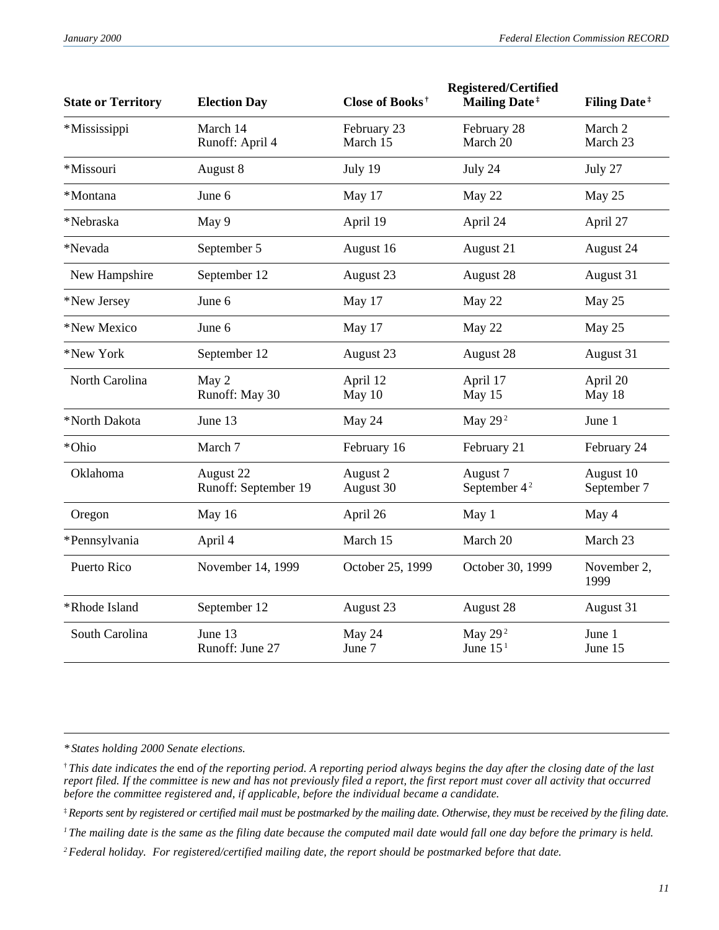| <b>State or Territory</b> | <b>Election Day</b>               | Close of Books <sup>†</sup> | <b>Registered/Certified</b><br><b>Mailing Date</b> <sup>#</sup> | <b>Filing Date</b> <sup>#</sup> |
|---------------------------|-----------------------------------|-----------------------------|-----------------------------------------------------------------|---------------------------------|
| *Mississippi              | March 14<br>Runoff: April 4       | February 23<br>March 15     | February 28<br>March 20                                         | March 2<br>March 23             |
| *Missouri                 | August 8                          | July 19                     | July 24                                                         | July 27                         |
| *Montana                  | June 6                            | May 17                      | May 22                                                          | May 25                          |
| *Nebraska                 | May 9                             | April 19                    | April 24                                                        | April 27                        |
| *Nevada                   | September 5                       | August 16                   | August 21                                                       | August 24                       |
| New Hampshire             | September 12                      | August 23                   | August 28                                                       | August 31                       |
| *New Jersey               | June 6                            | May 17                      | May 22                                                          | May 25                          |
| *New Mexico               | June 6                            | May 17                      | May 22                                                          | May 25                          |
| *New York                 | September 12                      | August 23                   | August 28                                                       | August 31                       |
| North Carolina            | May 2<br>Runoff: May 30           | April 12<br>May 10          | April 17<br>May 15                                              | April 20<br>May 18              |
| *North Dakota             | June 13                           | May 24                      | May 29 <sup>2</sup>                                             | June 1                          |
| *Ohio                     | March 7                           | February 16                 | February 21                                                     | February 24                     |
| Oklahoma                  | August 22<br>Runoff: September 19 | August 2<br>August 30       | August 7<br>September 4 <sup>2</sup>                            | August 10<br>September 7        |
| Oregon                    | May 16                            | April 26                    | May 1                                                           | May 4                           |
| *Pennsylvania             | April 4                           | March 15                    | March 20                                                        | March 23                        |
| Puerto Rico               | November 14, 1999                 | October 25, 1999            | October 30, 1999                                                | November 2,<br>1999             |
| *Rhode Island             | September 12                      | August 23                   | August 28                                                       | August 31                       |
| South Carolina            | June 13<br>Runoff: June 27        | May 24<br>June 7            | May $292$<br>June $151$                                         | June 1<br>June 15               |

*<sup>\*</sup> States holding 2000 Senate elections.*

<sup>†</sup> *This date indicates the* end *of the reporting period. A reporting period always begins the day after the closing date of the last report filed. If the committee is new and has not previously filed a report, the first report must cover all activity that occurred before the committee registered and, if applicable, before the individual became a candidate.*

<sup>‡</sup>*Reports sent by registered or certified mail must be postmarked by the mailing date. Otherwise, they must be received by the filing date.*

<sup>&</sup>lt;sup>1</sup> The mailing date is the same as the filing date because the computed mail date would fall one day before the primary is held.

*<sup>2</sup>Federal holiday. For registered/certified mailing date, the report should be postmarked before that date.*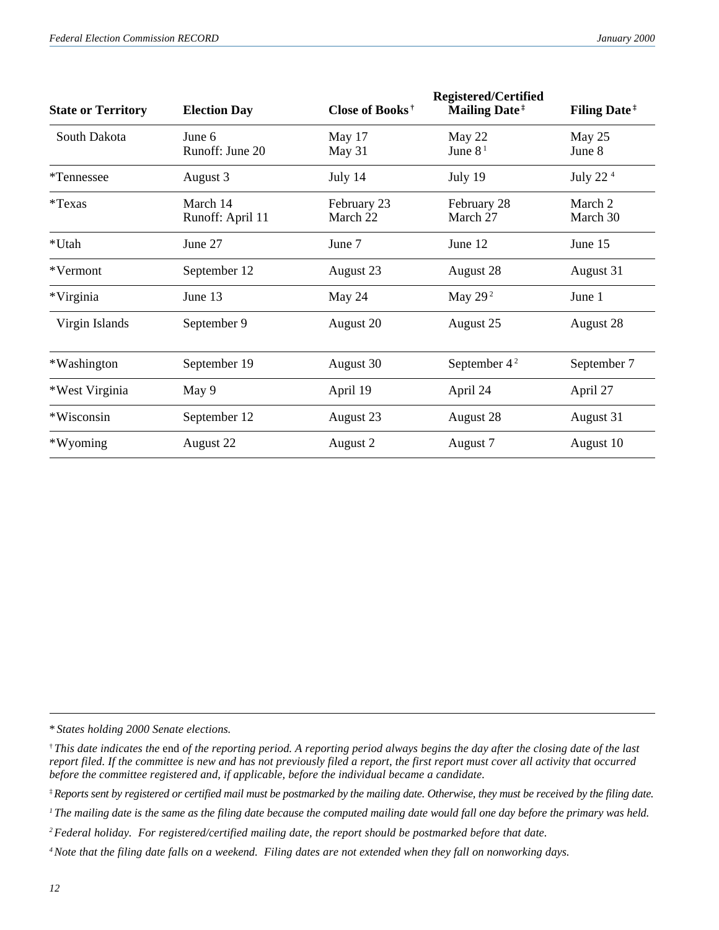| <b>State or Territory</b> | <b>Election Day</b>          | Close of Books <sup>†</sup> | <b>Registered/Certified</b><br><b>Mailing Date</b> <sup>#</sup> | <b>Filing Date</b> <sup>#</sup> |
|---------------------------|------------------------------|-----------------------------|-----------------------------------------------------------------|---------------------------------|
| South Dakota              | June 6<br>Runoff: June 20    | May 17<br>May 31            | May 22<br>June $81$                                             | May 25<br>June 8                |
| <i>*</i> Tennessee        | August 3                     | July 14                     | July 19                                                         | July 22 <sup>4</sup>            |
| *Texas                    | March 14<br>Runoff: April 11 | February 23<br>March 22     | February 28<br>March 27                                         | March 2<br>March 30             |
| *Utah                     | June 27                      | June 7                      | June 12                                                         | June 15                         |
| *Vermont                  | September 12                 | August 23                   | August 28                                                       | August 31                       |
| *Virginia                 | June 13                      | May 24                      | May 29 $2$                                                      | June 1                          |
| Virgin Islands            | September 9                  | August 20                   | August 25                                                       | August 28                       |
| *Washington               | September 19                 | August 30                   | September $42$                                                  | September 7                     |
| *West Virginia            | May 9                        | April 19                    | April 24                                                        | April 27                        |
| *Wisconsin                | September 12                 | August 23                   | August 28                                                       | August 31                       |
| *Wyoming                  | August 22                    | August 2                    | August 7                                                        | August 10                       |

\* *States holding 2000 Senate elections.*

<sup>†</sup> *This date indicates the* end *of the reporting period. A reporting period always begins the day after the closing date of the last report filed. If the committee is new and has not previously filed a report, the first report must cover all activity that occurred before the committee registered and, if applicable, before the individual became a candidate.*

<sup>‡</sup>*Reports sent by registered or certified mail must be postmarked by the mailing date. Otherwise, they must be received by the filing date.*

<sup>&</sup>lt;sup>1</sup> The mailing date is the same as the filing date because the computed mailing date would fall one day before the primary was held.

*<sup>2</sup>Federal holiday. For registered/certified mailing date, the report should be postmarked before that date.*

*<sup>4</sup>Note that the filing date falls on a weekend. Filing dates are not extended when they fall on nonworking days.*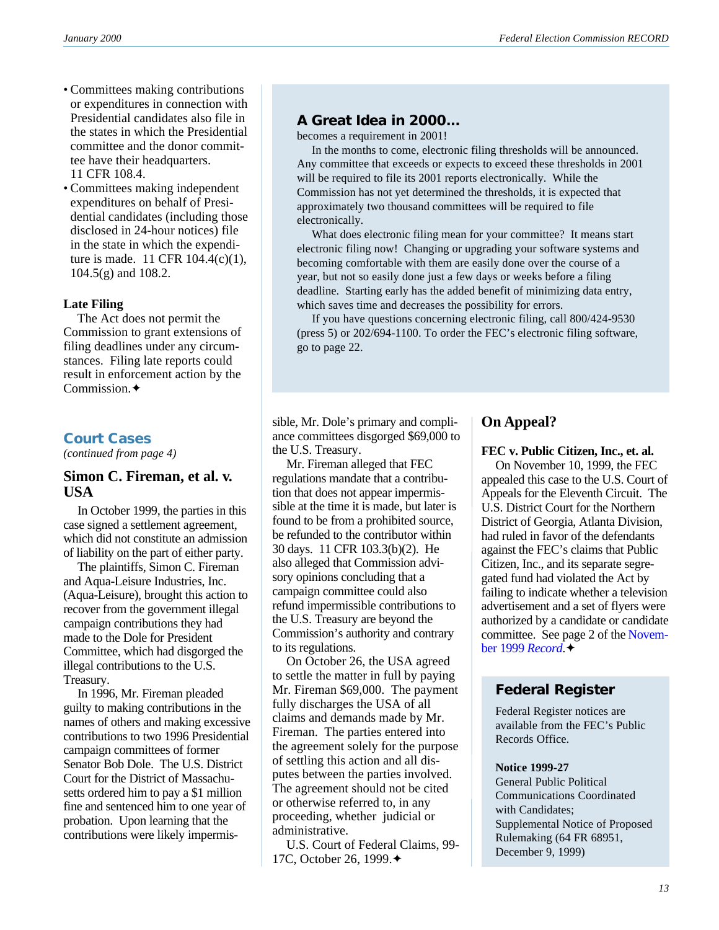- Committees making contributions or expenditures in connection with Presidential candidates also file in the states in which the Presidential committee and the donor committee have their headquarters. 11 CFR 108.4.
- Committees making independent expenditures on behalf of Presidential candidates (including those disclosed in 24-hour notices) file in the state in which the expenditure is made. 11 CFR 104.4(c)(1), 104.5(g) and 108.2.

### **Late Filing**

The Act does not permit the Commission to grant extensions of filing deadlines under any circumstances. Filing late reports could result in enforcement action by the Commission.✦

### **Court Cases**

*(continued from page 4)*

### **Simon C. Fireman, et al. v. USA**

In October 1999, the parties in this case signed a settlement agreement, which did not constitute an admission of liability on the part of either party.

The plaintiffs, Simon C. Fireman and Aqua-Leisure Industries, Inc. (Aqua-Leisure), brought this action to recover from the government illegal campaign contributions they had made to the Dole for President Committee, which had disgorged the illegal contributions to the U.S. Treasury.

In 1996, Mr. Fireman pleaded guilty to making contributions in the names of others and making excessive contributions to two 1996 Presidential campaign committees of former Senator Bob Dole. The U.S. District Court for the District of Massachusetts ordered him to pay a \$1 million fine and sentenced him to one year of probation. Upon learning that the contributions were likely impermis-

### **A Great Idea in 2000...**

becomes a requirement in 2001!

 In the months to come, electronic filing thresholds will be announced. Any committee that exceeds or expects to exceed these thresholds in 2001 will be required to file its 2001 reports electronically. While the Commission has not yet determined the thresholds, it is expected that approximately two thousand committees will be required to file electronically.

 What does electronic filing mean for your committee? It means start electronic filing now! Changing or upgrading your software systems and becoming comfortable with them are easily done over the course of a year, but not so easily done just a few days or weeks before a filing deadline. Starting early has the added benefit of minimizing data entry, which saves time and decreases the possibility for errors.

 If you have questions concerning electronic filing, call 800/424-9530 (press 5) or 202/694-1100. To order the FEC's electronic filing software, go to page 22.

sible, Mr. Dole's primary and compliance committees disgorged \$69,000 to the U.S. Treasury.

Mr. Fireman alleged that FEC regulations mandate that a contribution that does not appear impermissible at the time it is made, but later is found to be from a prohibited source, be refunded to the contributor within 30 days. 11 CFR 103.3(b)(2). He also alleged that Commission advisory opinions concluding that a campaign committee could also refund impermissible contributions to the U.S. Treasury are beyond the Commission's authority and contrary to its regulations.

On October 26, the USA agreed to settle the matter in full by paying Mr. Fireman \$69,000. The payment fully discharges the USA of all claims and demands made by Mr. Fireman. The parties entered into the agreement solely for the purpose of settling this action and all disputes between the parties involved. The agreement should not be cited or otherwise referred to, in any proceeding, whether judicial or administrative.

U.S. Court of Federal Claims, 99- 17C, October 26, 1999.✦

# **On Appeal?**

### **FEC v. Public Citizen, Inc., et. al.**

On November 10, 1999, the FEC appealed this case to the U.S. Court of Appeals for the Eleventh Circuit. The U.S. District Court for the Northern District of Georgia, Atlanta Division, had ruled in favor of the defendants against the FEC's claims that Public Citizen, Inc., and its separate segregated fund had violated the Act by failing to indicate whether a television advertisement and a set of flyers were authorized by a candidate or candidate committee. See page 2 of the [Novem](http://www.fec.gov/pdf/nov99.pdf)[ber 1999](http://www.fec.gov/pdf/nov99.pdf) *Record*.✦

# **Federal Register**

Federal Register notices are available from the FEC's Public Records Office.

#### **Notice 1999-27**

General Public Political Communications Coordinated with Candidates; Supplemental Notice of Proposed Rulemaking (64 FR 68951, December 9, 1999)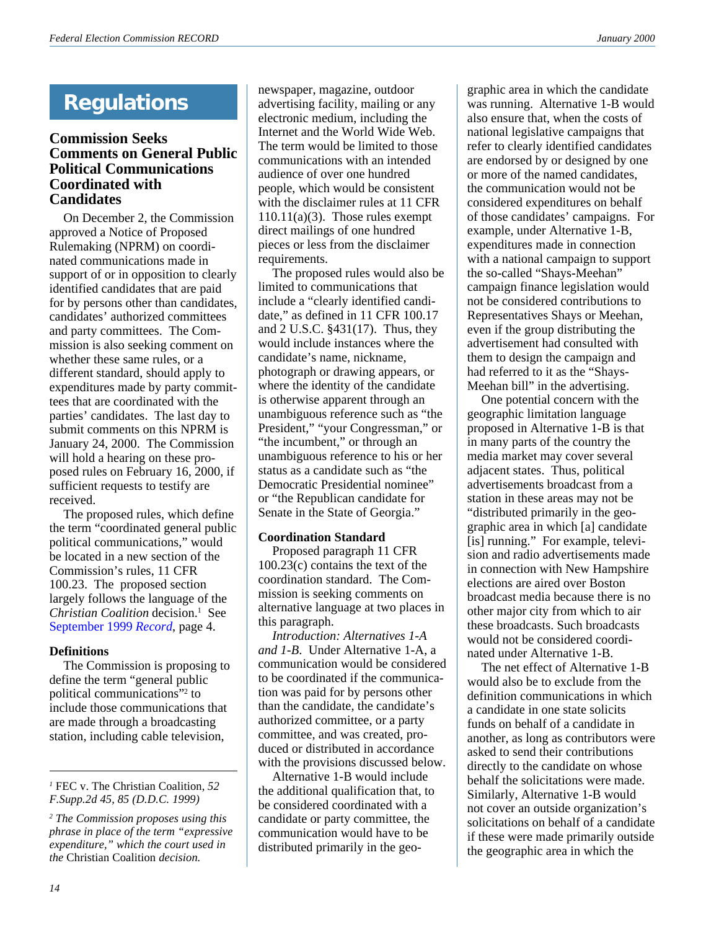# **Regulations**

### **Commission Seeks Comments on General Public Political Communications Coordinated with Candidates**

On December 2, the Commission approved a Notice of Proposed Rulemaking (NPRM) on coordinated communications made in support of or in opposition to clearly identified candidates that are paid for by persons other than candidates, candidates' authorized committees and party committees. The Commission is also seeking comment on whether these same rules, or a different standard, should apply to expenditures made by party committees that are coordinated with the parties' candidates. The last day to submit comments on this NPRM is January 24, 2000. The Commission will hold a hearing on these proposed rules on February 16, 2000, if sufficient requests to testify are received.

The proposed rules, which define the term "coordinated general public political communications," would be located in a new section of the Commission's rules, 11 CFR 100.23. The proposed section largely follows the language of the *Christian Coalition* decision.1 See [September 1999](http://www.fec.gov/pdf/sept99.pdf) *Record*, page 4.

### **Definitions**

The Commission is proposing to define the term "general public political communications"2 to include those communications that are made through a broadcasting station, including cable television,

*<sup>1</sup>* FEC v. The Christian Coalition, *52 F.Supp.2d 45, 85 (D.D.C. 1999)*

*2 The Commission proposes using this phrase in place of the term "expressive expenditure," which the court used in the* Christian Coalition *decision.*

newspaper, magazine, outdoor advertising facility, mailing or any electronic medium, including the Internet and the World Wide Web. The term would be limited to those communications with an intended audience of over one hundred people, which would be consistent with the disclaimer rules at 11 CFR  $110.11(a)(3)$ . Those rules exempt direct mailings of one hundred pieces or less from the disclaimer requirements.

The proposed rules would also be limited to communications that include a "clearly identified candidate," as defined in 11 CFR 100.17 and 2 U.S.C. §431(17). Thus, they would include instances where the candidate's name, nickname, photograph or drawing appears, or where the identity of the candidate is otherwise apparent through an unambiguous reference such as "the President," "your Congressman," or "the incumbent," or through an unambiguous reference to his or her status as a candidate such as "the Democratic Presidential nominee" or "the Republican candidate for Senate in the State of Georgia."

### **Coordination Standard**

Proposed paragraph 11 CFR 100.23(c) contains the text of the coordination standard. The Commission is seeking comments on alternative language at two places in this paragraph.

*Introduction: Alternatives 1-A and 1-B*. Under Alternative 1-A, a communication would be considered to be coordinated if the communication was paid for by persons other than the candidate, the candidate's authorized committee, or a party committee, and was created, produced or distributed in accordance with the provisions discussed below.

Alternative 1-B would include the additional qualification that, to be considered coordinated with a candidate or party committee, the communication would have to be distributed primarily in the geographic area in which the candidate was running. Alternative 1-B would also ensure that, when the costs of national legislative campaigns that refer to clearly identified candidates are endorsed by or designed by one or more of the named candidates, the communication would not be considered expenditures on behalf of those candidates' campaigns. For example, under Alternative 1-B, expenditures made in connection with a national campaign to support the so-called "Shays-Meehan" campaign finance legislation would not be considered contributions to Representatives Shays or Meehan, even if the group distributing the advertisement had consulted with them to design the campaign and had referred to it as the "Shays-Meehan bill" in the advertising.

One potential concern with the geographic limitation language proposed in Alternative 1-B is that in many parts of the country the media market may cover several adjacent states. Thus, political advertisements broadcast from a station in these areas may not be "distributed primarily in the geographic area in which [a] candidate [is] running." For example, television and radio advertisements made in connection with New Hampshire elections are aired over Boston broadcast media because there is no other major city from which to air these broadcasts. Such broadcasts would not be considered coordinated under Alternative 1-B.

The net effect of Alternative 1-B would also be to exclude from the definition communications in which a candidate in one state solicits funds on behalf of a candidate in another, as long as contributors were asked to send their contributions directly to the candidate on whose behalf the solicitations were made. Similarly, Alternative 1-B would not cover an outside organization's solicitations on behalf of a candidate if these were made primarily outside the geographic area in which the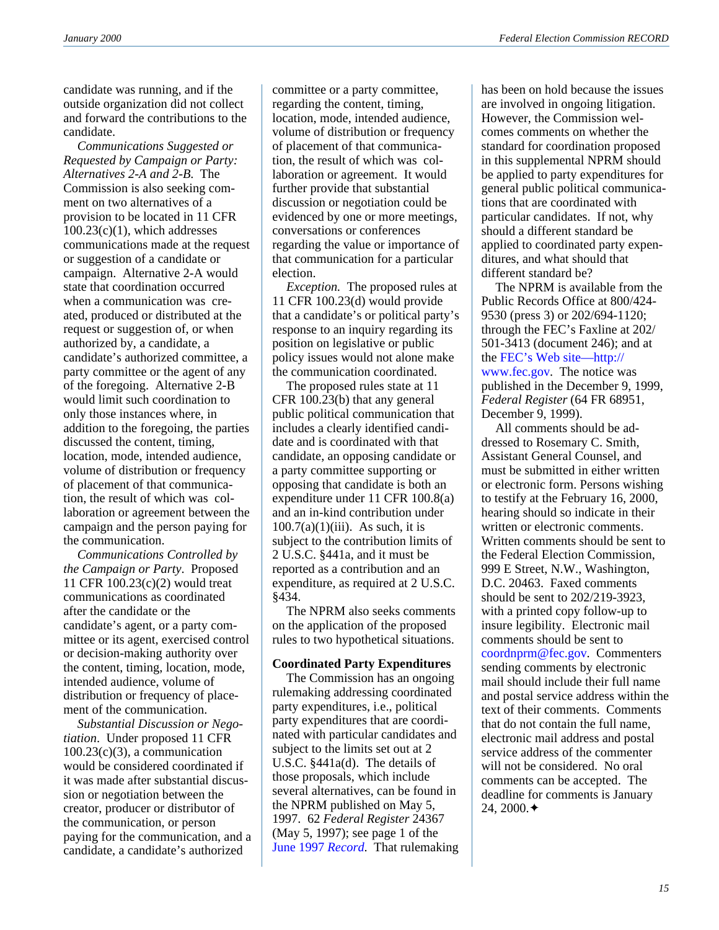candidate was running, and if the outside organization did not collect and forward the contributions to the candidate.

*Communications Suggested or Requested by Campaign or Party: Alternatives 2-A and 2-B*. The Commission is also seeking comment on two alternatives of a provision to be located in 11 CFR  $100.23(c)(1)$ , which addresses communications made at the request or suggestion of a candidate or campaign. Alternative 2-A would state that coordination occurred when a communication was created, produced or distributed at the request or suggestion of, or when authorized by, a candidate, a candidate's authorized committee, a party committee or the agent of any of the foregoing. Alternative 2-B would limit such coordination to only those instances where, in addition to the foregoing, the parties discussed the content, timing, location, mode, intended audience, volume of distribution or frequency of placement of that communication, the result of which was collaboration or agreement between the campaign and the person paying for the communication.

*Communications Controlled by the Campaign or Party*. Proposed 11 CFR 100.23(c)(2) would treat communications as coordinated after the candidate or the candidate's agent, or a party committee or its agent, exercised control or decision-making authority over the content, timing, location, mode, intended audience, volume of distribution or frequency of placement of the communication.

*Substantial Discussion or Negotiation*. Under proposed 11 CFR  $100.23(c)(3)$ , a communication would be considered coordinated if it was made after substantial discussion or negotiation between the creator, producer or distributor of the communication, or person paying for the communication, and a candidate, a candidate's authorized

committee or a party committee, regarding the content, timing, location, mode, intended audience, volume of distribution or frequency of placement of that communication, the result of which was collaboration or agreement. It would further provide that substantial discussion or negotiation could be evidenced by one or more meetings, conversations or conferences regarding the value or importance of that communication for a particular election.

*Exception.* The proposed rules at 11 CFR 100.23(d) would provide that a candidate's or political party's response to an inquiry regarding its position on legislative or public policy issues would not alone make the communication coordinated.

The proposed rules state at 11 CFR 100.23(b) that any general public political communication that includes a clearly identified candidate and is coordinated with that candidate, an opposing candidate or a party committee supporting or opposing that candidate is both an expenditure under 11 CFR 100.8(a) and an in-kind contribution under  $100.7(a)(1)(iii)$ . As such, it is subject to the contribution limits of 2 U.S.C. §441a, and it must be reported as a contribution and an expenditure, as required at 2 U.S.C. §434.

The NPRM also seeks comments on the application of the proposed rules to two hypothetical situations.

#### **Coordinated Party Expenditures**

The Commission has an ongoing rulemaking addressing coordinated party expenditures, i.e., political party expenditures that are coordinated with particular candidates and subject to the limits set out at 2 U.S.C. §441a(d). The details of those proposals, which include several alternatives, can be found in the NPRM published on May 5, 1997. 62 *Federal Register* 24367 (May 5, 1997); see page 1 of the [June 1997](http://www.fec.gov/pdf/%21june97.pdf) *Record*. That rulemaking

has been on hold because the issues are involved in ongoing litigation. However, the Commission welcomes comments on whether the standard for coordination proposed in this supplemental NPRM should be applied to party expenditures for general public political communications that are coordinated with particular candidates. If not, why should a different standard be applied to coordinated party expenditures, and what should that different standard be?

The NPRM is available from the Public Records Office at 800/424- 9530 (press 3) or 202/694-1120; through the FEC's Faxline at 202/ 501-3413 (document 246); and at the [FEC's Web site—http://](http://www.fec.gov/pdf/coord99.pdf) [www.fec.gov](http://www.fec.gov/pdf/coord99.pdf). The notice was published in the December 9, 1999, *Federal Register* (64 FR 68951, December 9, 1999).

All comments should be addressed to Rosemary C. Smith, Assistant General Counsel, and must be submitted in either written or electronic form. Persons wishing to testify at the February 16, 2000, hearing should so indicate in their written or electronic comments. Written comments should be sent to the Federal Election Commission, 999 E Street, N.W., Washington, D.C. 20463. Faxed comments should be sent to 202/219-3923, with a printed copy follow-up to insure legibility. Electronic mail comments should be sent to [coordnprm@fec.gov.](mailto: coordnprm@fec.gov) Commenters sending comments by electronic mail should include their full name and postal service address within the text of their comments. Comments that do not contain the full name, electronic mail address and postal service address of the commenter will not be considered. No oral comments can be accepted. The deadline for comments is January 24, 2000.  $\triangleleft$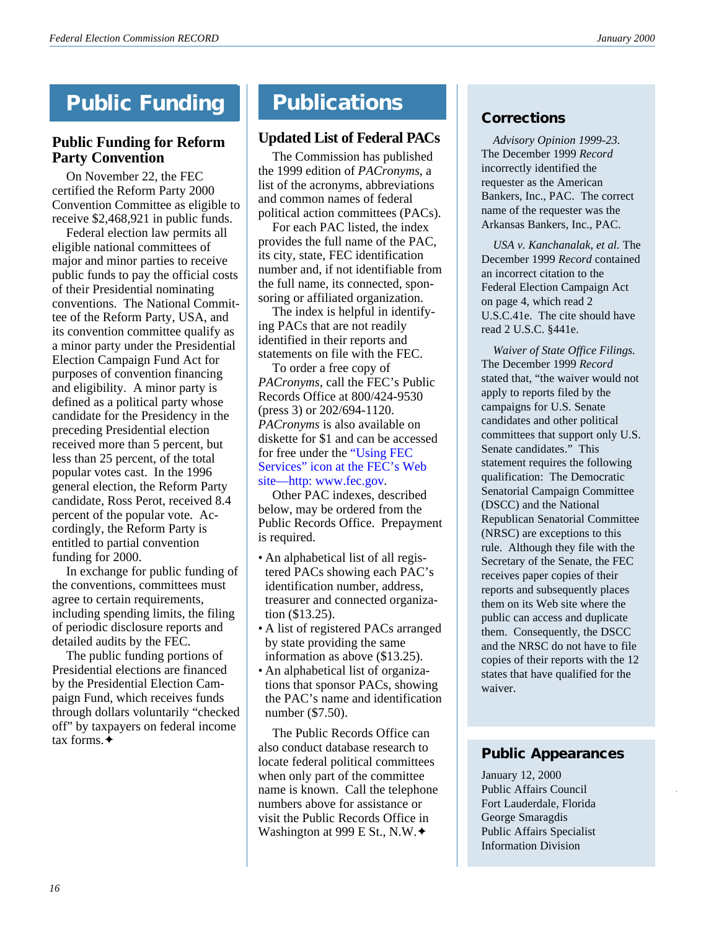# **Public Funding**

### **Public Funding for Reform Party Convention**

On November 22, the FEC certified the Reform Party 2000 Convention Committee as eligible to receive \$2,468,921 in public funds.

Federal election law permits all eligible national committees of major and minor parties to receive public funds to pay the official costs of their Presidential nominating conventions. The National Committee of the Reform Party, USA, and its convention committee qualify as a minor party under the Presidential Election Campaign Fund Act for purposes of convention financing and eligibility. A minor party is defined as a political party whose candidate for the Presidency in the preceding Presidential election received more than 5 percent, but less than 25 percent, of the total popular votes cast. In the 1996 general election, the Reform Party candidate, Ross Perot, received 8.4 percent of the popular vote. Accordingly, the Reform Party is entitled to partial convention funding for 2000.

In exchange for public funding of the conventions, committees must agree to certain requirements, including spending limits, the filing of periodic disclosure reports and detailed audits by the FEC.

The public funding portions of Presidential elections are financed by the Presidential Election Campaign Fund, which receives funds through dollars voluntarily "checked off" by taxpayers on federal income tax forms  $\ddot{\mathbf{\bullet}}$ 

# **Publications**

# **Updated List of Federal PACs**

The Commission has published the 1999 edition of *PACronyms*, a list of the acronyms, abbreviations and common names of federal political action committees (PACs).

For each PAC listed, the index provides the full name of the PAC, its city, state, FEC identification number and, if not identifiable from the full name, its connected, sponsoring or affiliated organization.

The index is helpful in identifying PACs that are not readily identified in their reports and statements on file with the FEC.

To order a free copy of *PACronyms*, call the FEC's Public Records Office at 800/424-9530 (press 3) or 202/694-1120. *PACronyms* is also available on diskette for \$1 and can be accessed for free under the ["Using FEC](http://www.fec.gov/pages/pacronym.htm) [Services" icon at the FEC's Web](http://www.fec.gov/pages/pacronym.htm) [site—http: www.fec.gov](http://www.fec.gov/pages/pacronym.htm).

Other PAC indexes, described below, may be ordered from the Public Records Office. Prepayment is required.

- An alphabetical list of all registered PACs showing each PAC's identification number, address, treasurer and connected organization (\$13.25).
- A list of registered PACs arranged by state providing the same information as above (\$13.25).
- An alphabetical list of organizations that sponsor PACs, showing the PAC's name and identification number (\$7.50).

The Public Records Office can also conduct database research to locate federal political committees when only part of the committee name is known. Call the telephone numbers above for assistance or visit the Public Records Office in Washington at 999 E St., N.W.◆

### **Corrections**

 *Advisory Opinion 1999-23.* The December 1999 *Record* incorrectly identified the requester as the American Bankers, Inc., PAC. The correct name of the requester was the Arkansas Bankers, Inc., PAC.

 *USA v. Kanchanalak, et al.* The December 1999 *Record* contained an incorrect citation to the Federal Election Campaign Act on page 4, which read 2 U.S.C.41e. The cite should have read 2 U.S.C. §441e.

 *Waiver of State Office Filings.* The December 1999 *Record* stated that, "the waiver would not apply to reports filed by the campaigns for U.S. Senate candidates and other political committees that support only U.S. Senate candidates." This statement requires the following qualification: The Democratic Senatorial Campaign Committee (DSCC) and the National Republican Senatorial Committee (NRSC) are exceptions to this rule. Although they file with the Secretary of the Senate, the FEC receives paper copies of their reports and subsequently places them on its Web site where the public can access and duplicate them. Consequently, the DSCC and the NRSC do not have to file copies of their reports with the 12 states that have qualified for the waiver.

# **Public Appearances**

January 12, 2000 Public Affairs Council Fort Lauderdale, Florida George Smaragdis Public Affairs Specialist Information Division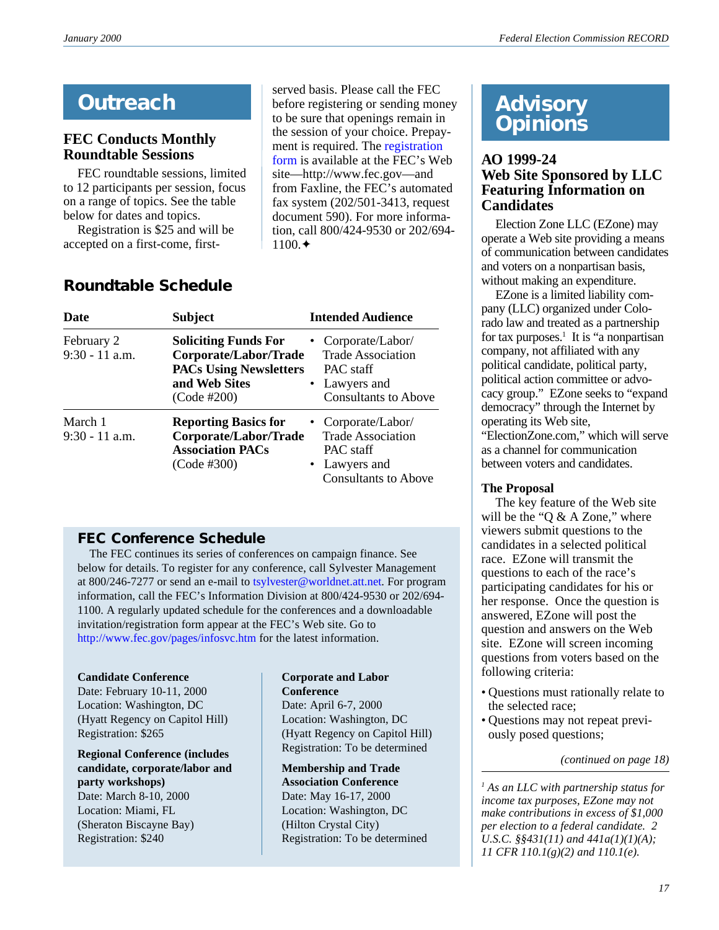# **Outreach**

# **FEC Conducts Monthly Roundtable Sessions**

FEC roundtable sessions, limited to 12 participants per session, focus on a range of topics. See the table below for dates and topics.

Registration is \$25 and will be accepted on a first-come, first-

served basis. Please call the FEC before registering or sending money to be sure that openings remain in the session of your choice. Prepayment is required. The [registration](http://www.fec.gov/pdf/rndtabl.pdf) [form](http://www.fec.gov/pdf/rndtabl.pdf) is available at the FEC's Web site—http://www.fec.gov—and from Faxline, the FEC's automated fax system (202/501-3413, request document 590). For more information, call 800/424-9530 or 202/694- 1100.✦

| Date                           | <b>Subject</b>                                                                                                        | <b>Intended Audience</b>                                                                                    |
|--------------------------------|-----------------------------------------------------------------------------------------------------------------------|-------------------------------------------------------------------------------------------------------------|
| February 2<br>$9:30 - 11$ a.m. | <b>Soliciting Funds For</b><br>Corporate/Labor/Trade<br><b>PACs Using Newsletters</b><br>and Web Sites<br>(Code #200) | • Corporate/Labor/<br><b>Trade Association</b><br>PAC staff<br>• Lawyers and<br><b>Consultants to Above</b> |
| March 1<br>$9:30 - 11$ a.m.    | <b>Reporting Basics for</b><br>Corporate/Labor/Trade<br><b>Association PACs</b><br>(Code #300)                        | • Corporate/Labor/<br><b>Trade Association</b><br>PAC staff<br>• Lawyers and<br><b>Consultants to Above</b> |

# **Roundtable Schedule**

# **FEC Conference Schedule**

 The FEC continues its series of conferences on campaign finance. See below for details. To register for any conference, call Sylvester Management at 800/246-7277 or send an e-mail to [tsylvester@worldnet.att.net](mailto: tsylvester@worldnet.att.net). For program information, call the FEC's Information Division at 800/424-9530 or 202/694- 1100. A regularly updated schedule for the conferences and a downloadable invitation/registration form appear at the FEC's Web site. Go to [http://www.fec.gov/pages/infosvc.htm](http://www.fec.gov/pages/infosvc.htm#Conferences) for the latest information.

### **Candidate Conference**

Date: February 10-11, 2000 Location: Washington, DC (Hyatt Regency on Capitol Hill) Registration: \$265

**Regional Conference (includes candidate, corporate/labor and party workshops)** Date: March 8-10, 2000

Location: Miami, FL (Sheraton Biscayne Bay) Registration: \$240

### **Corporate and Labor Conference**

Date: April 6-7, 2000 Location: Washington, DC (Hyatt Regency on Capitol Hill) Registration: To be determined

**Membership and Trade Association Conference** Date: May 16-17, 2000 Location: Washington, DC (Hilton Crystal City) Registration: To be determined

# **Advisory Opinions**

### **AO 1999-24 Web Site Sponsored by LLC Featuring Information on Candidates**

Election Zone LLC (EZone) may operate a Web site providing a means of communication between candidates and voters on a nonpartisan basis, without making an expenditure.

EZone is a limited liability company (LLC) organized under Colorado law and treated as a partnership for tax purposes.<sup>1</sup> It is "a nonpartisan company, not affiliated with any political candidate, political party, political action committee or advocacy group." EZone seeks to "expand democracy" through the Internet by operating its Web site, "ElectionZone.com," which will serve

as a channel for communication between voters and candidates.

### **The Proposal**

The key feature of the Web site will be the "Q  $&$  A Zone," where viewers submit questions to the candidates in a selected political race. EZone will transmit the questions to each of the race's participating candidates for his or her response. Once the question is answered, EZone will post the question and answers on the Web site. EZone will screen incoming questions from voters based on the following criteria:

- Questions must rationally relate to the selected race;
- Questions may not repeat previously posed questions;

*(continued on page 18)*

*1 As an LLC with partnership status for income tax purposes, EZone may not make contributions in excess of \$1,000 per election to a federal candidate. 2 U.S.C. §§431(11) and 441a(1)(1)(A); 11 CFR 110.1(g)(2) and 110.1(e).*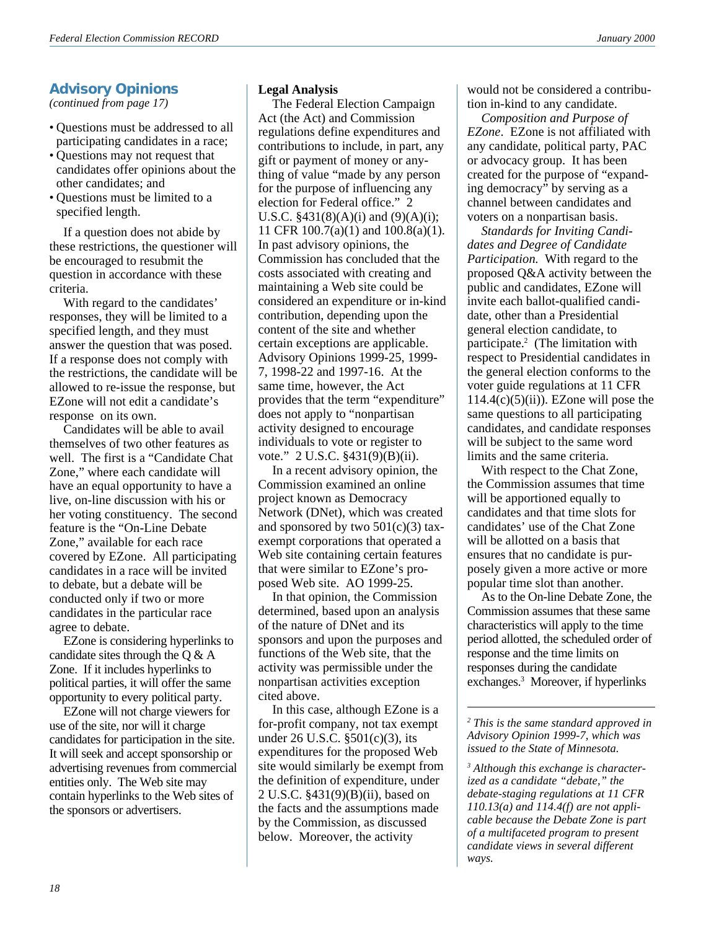# **Advisory Opinions**

*(continued from page 17)*

- Questions must be addressed to all participating candidates in a race;
- Questions may not request that candidates offer opinions about the other candidates; and
- Questions must be limited to a specified length.

If a question does not abide by these restrictions, the questioner will be encouraged to resubmit the question in accordance with these criteria.

With regard to the candidates' responses, they will be limited to a specified length, and they must answer the question that was posed. If a response does not comply with the restrictions, the candidate will be allowed to re-issue the response, but EZone will not edit a candidate's response on its own.

Candidates will be able to avail themselves of two other features as well. The first is a "Candidate Chat Zone," where each candidate will have an equal opportunity to have a live, on-line discussion with his or her voting constituency. The second feature is the "On-Line Debate Zone," available for each race covered by EZone. All participating candidates in a race will be invited to debate, but a debate will be conducted only if two or more candidates in the particular race agree to debate.

EZone is considering hyperlinks to candidate sites through the  $Q & A$ Zone. If it includes hyperlinks to political parties, it will offer the same opportunity to every political party.

EZone will not charge viewers for use of the site, nor will it charge candidates for participation in the site. It will seek and accept sponsorship or advertising revenues from commercial entities only. The Web site may contain hyperlinks to the Web sites of the sponsors or advertisers.

#### **Legal Analysis**

The Federal Election Campaign Act (the Act) and Commission regulations define expenditures and contributions to include, in part, any gift or payment of money or anything of value "made by any person for the purpose of influencing any election for Federal office." 2 U.S.C.  $§431(8)(A)(i)$  and  $(9)(A)(i);$ 11 CFR 100.7(a)(1) and 100.8(a)(1). In past advisory opinions, the Commission has concluded that the costs associated with creating and maintaining a Web site could be considered an expenditure or in-kind contribution, depending upon the content of the site and whether certain exceptions are applicable. Advisory Opinions 1999-25, 1999- 7, 1998-22 and 1997-16. At the same time, however, the Act provides that the term "expenditure" does not apply to "nonpartisan activity designed to encourage individuals to vote or register to vote." 2 U.S.C. §431(9)(B)(ii).

In a recent advisory opinion, the Commission examined an online project known as Democracy Network (DNet), which was created and sponsored by two  $501(c)(3)$  taxexempt corporations that operated a Web site containing certain features that were similar to EZone's proposed Web site. AO 1999-25.

In that opinion, the Commission determined, based upon an analysis of the nature of DNet and its sponsors and upon the purposes and functions of the Web site, that the activity was permissible under the nonpartisan activities exception cited above.

In this case, although EZone is a for-profit company, not tax exempt under 26 U.S.C. §501(c)(3), its expenditures for the proposed Web site would similarly be exempt from the definition of expenditure, under 2 U.S.C. §431(9)(B)(ii), based on the facts and the assumptions made by the Commission, as discussed below. Moreover, the activity

would not be considered a contribution in-kind to any candidate.

*Composition and Purpose of EZone*. EZone is not affiliated with any candidate, political party, PAC or advocacy group. It has been created for the purpose of "expanding democracy" by serving as a channel between candidates and voters on a nonpartisan basis.

*Standards for Inviting Candidates and Degree of Candidate Participation*. With regard to the proposed Q&A activity between the public and candidates, EZone will invite each ballot-qualified candidate, other than a Presidential general election candidate, to participate.<sup>2</sup> (The limitation with respect to Presidential candidates in the general election conforms to the voter guide regulations at 11 CFR  $114.4(c)(5)(ii)$ ). EZone will pose the same questions to all participating candidates, and candidate responses will be subject to the same word limits and the same criteria.

With respect to the Chat Zone, the Commission assumes that time will be apportioned equally to candidates and that time slots for candidates' use of the Chat Zone will be allotted on a basis that ensures that no candidate is purposely given a more active or more popular time slot than another.

As to the On-line Debate Zone, the Commission assumes that these same characteristics will apply to the time period allotted, the scheduled order of response and the time limits on responses during the candidate exchanges.3 Moreover, if hyperlinks

*2 This is the same standard approved in Advisory Opinion 1999-7, which was issued to the State of Minnesota.*

*3 Although this exchange is characterized as a candidate "debate," the debate-staging regulations at 11 CFR 110.13(a) and 114.4(f) are not applicable because the Debate Zone is part of a multifaceted program to present candidate views in several different ways.*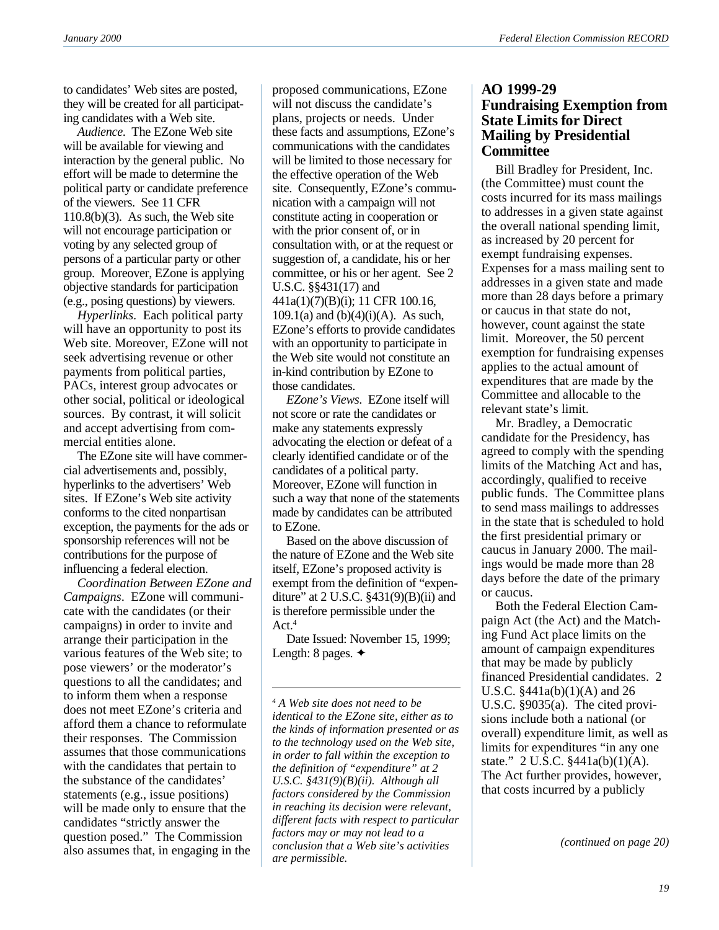to candidates' Web sites are posted, they will be created for all participating candidates with a Web site.

*Audience*. The EZone Web site will be available for viewing and interaction by the general public. No effort will be made to determine the political party or candidate preference of the viewers. See 11 CFR  $110.8(b)(3)$ . As such, the Web site will not encourage participation or voting by any selected group of persons of a particular party or other group. Moreover, EZone is applying objective standards for participation (e.g., posing questions) by viewers.

*Hyperlinks*. Each political party will have an opportunity to post its Web site. Moreover, EZone will not seek advertising revenue or other payments from political parties, PACs, interest group advocates or other social, political or ideological sources. By contrast, it will solicit and accept advertising from commercial entities alone.

The EZone site will have commercial advertisements and, possibly, hyperlinks to the advertisers' Web sites. If EZone's Web site activity conforms to the cited nonpartisan exception, the payments for the ads or sponsorship references will not be contributions for the purpose of influencing a federal election.

*Coordination Between EZone and Campaigns*. EZone will communicate with the candidates (or their campaigns) in order to invite and arrange their participation in the various features of the Web site; to pose viewers' or the moderator's questions to all the candidates; and to inform them when a response does not meet EZone's criteria and afford them a chance to reformulate their responses. The Commission assumes that those communications with the candidates that pertain to the substance of the candidates' statements (e.g., issue positions) will be made only to ensure that the candidates "strictly answer the question posed." The Commission also assumes that, in engaging in the

proposed communications, EZone will not discuss the candidate's plans, projects or needs. Under these facts and assumptions, EZone's communications with the candidates will be limited to those necessary for the effective operation of the Web site. Consequently, EZone's communication with a campaign will not constitute acting in cooperation or with the prior consent of, or in consultation with, or at the request or suggestion of, a candidate, his or her committee, or his or her agent. See 2 U.S.C. §§431(17) and 441a(1)(7)(B)(i); 11 CFR 100.16,  $109.1(a)$  and  $(b)(4)(i)(A)$ . As such, EZone's efforts to provide candidates with an opportunity to participate in the Web site would not constitute an in-kind contribution by EZone to those candidates.

*EZone's Views*. EZone itself will not score or rate the candidates or make any statements expressly advocating the election or defeat of a clearly identified candidate or of the candidates of a political party. Moreover, EZone will function in such a way that none of the statements made by candidates can be attributed to EZone.

Based on the above discussion of the nature of EZone and the Web site itself, EZone's proposed activity is exempt from the definition of "expenditure" at 2 U.S.C.  $\S$ 431(9)(B)(ii) and is therefore permissible under the Act.<sup>4</sup>

Date Issued: November 15, 1999; Length: 8 pages. ✦

*4 A Web site does not need to be identical to the EZone site, either as to the kinds of information presented or as to the technology used on the Web site, in order to fall within the exception to the definition of "expenditure" at 2 U.S.C. §431(9)(B)(ii). Although all factors considered by the Commission in reaching its decision were relevant, different facts with respect to particular factors may or may not lead to a conclusion that a Web site's activities are permissible.*

### **AO 1999-29 Fundraising Exemption from State Limits for Direct Mailing by Presidential Committee**

Bill Bradley for President, Inc. (the Committee) must count the costs incurred for its mass mailings to addresses in a given state against the overall national spending limit, as increased by 20 percent for exempt fundraising expenses. Expenses for a mass mailing sent to addresses in a given state and made more than 28 days before a primary or caucus in that state do not, however, count against the state limit. Moreover, the 50 percent exemption for fundraising expenses applies to the actual amount of expenditures that are made by the Committee and allocable to the relevant state's limit.

Mr. Bradley, a Democratic candidate for the Presidency, has agreed to comply with the spending limits of the Matching Act and has, accordingly, qualified to receive public funds. The Committee plans to send mass mailings to addresses in the state that is scheduled to hold the first presidential primary or caucus in January 2000. The mailings would be made more than 28 days before the date of the primary or caucus.

Both the Federal Election Campaign Act (the Act) and the Matching Fund Act place limits on the amount of campaign expenditures that may be made by publicly financed Presidential candidates. 2 U.S.C. §441a(b)(1)(A) and 26 U.S.C. §9035(a). The cited provisions include both a national (or overall) expenditure limit, as well as limits for expenditures "in any one state." 2 U.S.C. §441a(b)(1)(A). The Act further provides, however, that costs incurred by a publicly

*(continued on page 20)*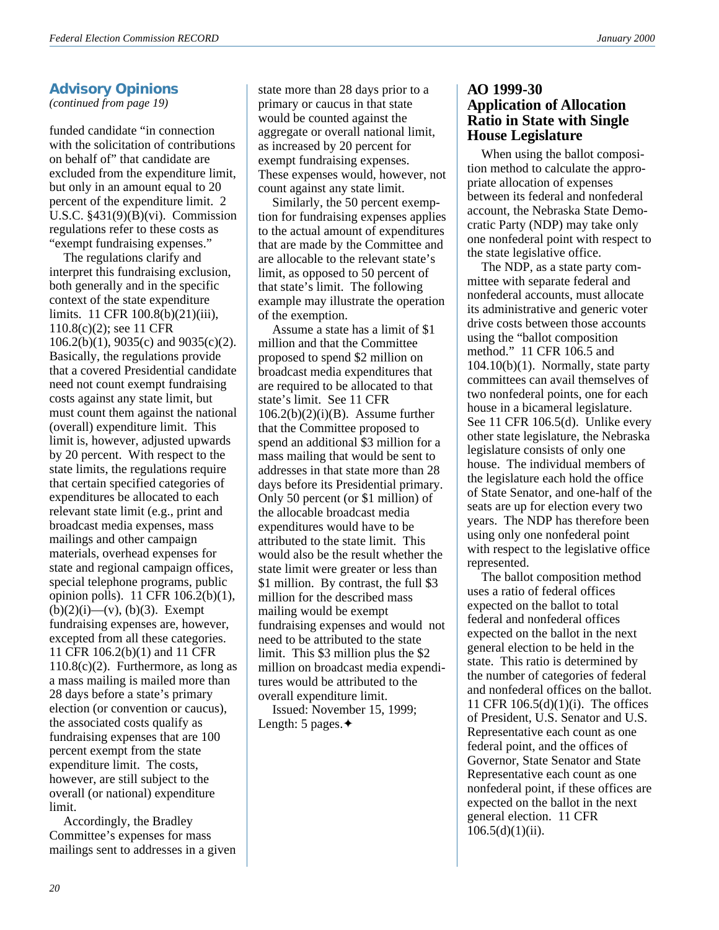### **Advisory Opinions**

*(continued from page 19)*

funded candidate "in connection with the solicitation of contributions on behalf of" that candidate are excluded from the expenditure limit, but only in an amount equal to 20 percent of the expenditure limit. 2 U.S.C. §431(9)(B)(vi). Commission regulations refer to these costs as "exempt fundraising expenses."

The regulations clarify and interpret this fundraising exclusion, both generally and in the specific context of the state expenditure limits. 11 CFR 100.8(b)(21)(iii), 110.8(c)(2); see 11 CFR 106.2(b)(1), 9035(c) and 9035(c)(2). Basically, the regulations provide that a covered Presidential candidate need not count exempt fundraising costs against any state limit, but must count them against the national (overall) expenditure limit. This limit is, however, adjusted upwards by 20 percent. With respect to the state limits, the regulations require that certain specified categories of expenditures be allocated to each relevant state limit (e.g., print and broadcast media expenses, mass mailings and other campaign materials, overhead expenses for state and regional campaign offices, special telephone programs, public opinion polls). 11 CFR 106.2(b)(1),  $(b)(2)(i)$ — $(v)$ ,  $(b)(3)$ . Exempt fundraising expenses are, however, excepted from all these categories. 11 CFR 106.2(b)(1) and 11 CFR  $110.8(c)(2)$ . Furthermore, as long as a mass mailing is mailed more than 28 days before a state's primary election (or convention or caucus), the associated costs qualify as fundraising expenses that are 100 percent exempt from the state expenditure limit. The costs, however, are still subject to the overall (or national) expenditure limit.

Accordingly, the Bradley Committee's expenses for mass mailings sent to addresses in a given state more than 28 days prior to a primary or caucus in that state would be counted against the aggregate or overall national limit, as increased by 20 percent for exempt fundraising expenses. These expenses would, however, not count against any state limit.

Similarly, the 50 percent exemption for fundraising expenses applies to the actual amount of expenditures that are made by the Committee and are allocable to the relevant state's limit, as opposed to 50 percent of that state's limit. The following example may illustrate the operation of the exemption.

Assume a state has a limit of \$1 million and that the Committee proposed to spend \$2 million on broadcast media expenditures that are required to be allocated to that state's limit. See 11 CFR  $106.2(b)(2)(i)(B)$ . Assume further that the Committee proposed to spend an additional \$3 million for a mass mailing that would be sent to addresses in that state more than 28 days before its Presidential primary. Only 50 percent (or \$1 million) of the allocable broadcast media expenditures would have to be attributed to the state limit. This would also be the result whether the state limit were greater or less than \$1 million. By contrast, the full \$3 million for the described mass mailing would be exempt fundraising expenses and would not need to be attributed to the state limit. This \$3 million plus the \$2 million on broadcast media expenditures would be attributed to the overall expenditure limit.

Issued: November 15, 1999; Length: 5 pages.✦

### **AO 1999-30 Application of Allocation Ratio in State with Single House Legislature**

When using the ballot composition method to calculate the appropriate allocation of expenses between its federal and nonfederal account, the Nebraska State Democratic Party (NDP) may take only one nonfederal point with respect to the state legislative office.

The NDP, as a state party committee with separate federal and nonfederal accounts, must allocate its administrative and generic voter drive costs between those accounts using the "ballot composition method." 11 CFR 106.5 and  $104.10(b)(1)$ . Normally, state party committees can avail themselves of two nonfederal points, one for each house in a bicameral legislature. See 11 CFR 106.5(d). Unlike every other state legislature, the Nebraska legislature consists of only one house. The individual members of the legislature each hold the office of State Senator, and one-half of the seats are up for election every two years. The NDP has therefore been using only one nonfederal point with respect to the legislative office represented.

The ballot composition method uses a ratio of federal offices expected on the ballot to total federal and nonfederal offices expected on the ballot in the next general election to be held in the state. This ratio is determined by the number of categories of federal and nonfederal offices on the ballot. 11 CFR 106.5(d)(1)(i). The offices of President, U.S. Senator and U.S. Representative each count as one federal point, and the offices of Governor, State Senator and State Representative each count as one nonfederal point, if these offices are expected on the ballot in the next general election. 11 CFR  $106.5(d)(1)(ii)$ .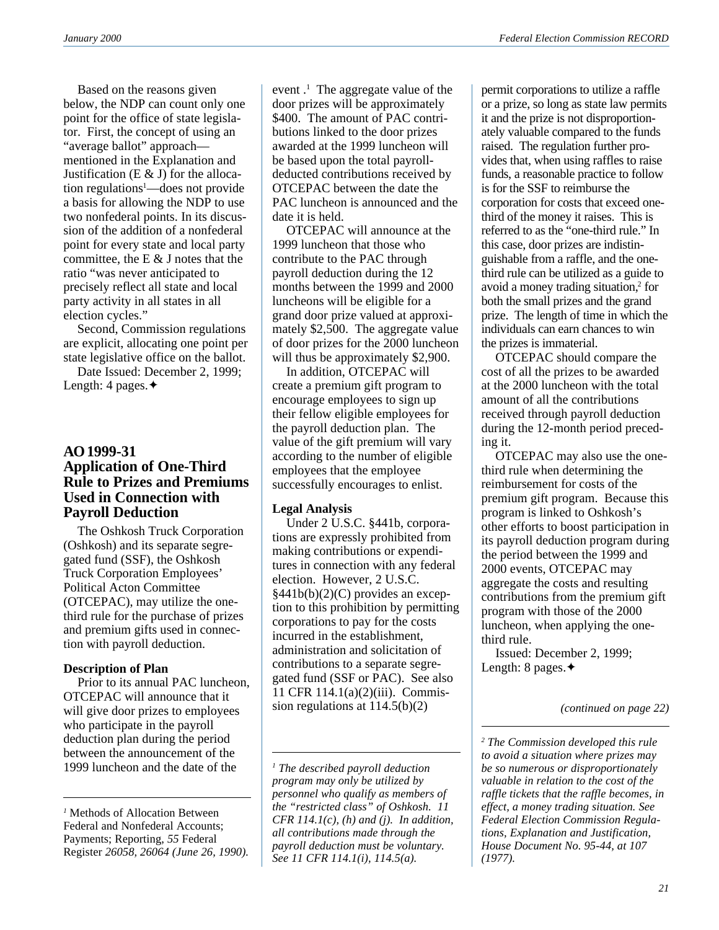Based on the reasons given below, the NDP can count only one point for the office of state legislator. First, the concept of using an "average ballot" approach mentioned in the Explanation and Justification  $(E \& J)$  for the allocation regulations1 —does not provide a basis for allowing the NDP to use two nonfederal points. In its discussion of the addition of a nonfederal point for every state and local party committee, the E  $&$  J notes that the ratio "was never anticipated to precisely reflect all state and local party activity in all states in all election cycles."

Second, Commission regulations are explicit, allocating one point per state legislative office on the ballot.

Date Issued: December 2, 1999; Length: 4 pages.✦

### **AO 1999-31 Application of One-Third Rule to Prizes and Premiums Used in Connection with Payroll Deduction**

The Oshkosh Truck Corporation (Oshkosh) and its separate segregated fund (SSF), the Oshkosh Truck Corporation Employees' Political Acton Committee (OTCEPAC), may utilize the onethird rule for the purchase of prizes and premium gifts used in connection with payroll deduction.

### **Description of Plan**

Prior to its annual PAC luncheon, OTCEPAC will announce that it will give door prizes to employees who participate in the payroll deduction plan during the period between the announcement of the 1999 luncheon and the date of the

event .<sup>1</sup> The aggregate value of the door prizes will be approximately \$400. The amount of PAC contributions linked to the door prizes awarded at the 1999 luncheon will be based upon the total payrolldeducted contributions received by OTCEPAC between the date the PAC luncheon is announced and the date it is held.

OTCEPAC will announce at the 1999 luncheon that those who contribute to the PAC through payroll deduction during the 12 months between the 1999 and 2000 luncheons will be eligible for a grand door prize valued at approximately \$2,500. The aggregate value of door prizes for the 2000 luncheon will thus be approximately \$2,900.

In addition, OTCEPAC will create a premium gift program to encourage employees to sign up their fellow eligible employees for the payroll deduction plan. The value of the gift premium will vary according to the number of eligible employees that the employee successfully encourages to enlist.

### **Legal Analysis**

Under 2 U.S.C. §441b, corporations are expressly prohibited from making contributions or expenditures in connection with any federal election. However, 2 U.S.C. §441b(b)(2)(C) provides an exception to this prohibition by permitting corporations to pay for the costs incurred in the establishment, administration and solicitation of contributions to a separate segregated fund (SSF or PAC). See also 11 CFR 114.1(a)(2)(iii). Commission regulations at 114.5(b)(2) *(continued on page 22)*

permit corporations to utilize a raffle or a prize, so long as state law permits it and the prize is not disproportionately valuable compared to the funds raised. The regulation further provides that, when using raffles to raise funds, a reasonable practice to follow is for the SSF to reimburse the corporation for costs that exceed onethird of the money it raises. This is referred to as the "one-third rule." In this case, door prizes are indistinguishable from a raffle, and the onethird rule can be utilized as a guide to avoid a money trading situation,<sup>2</sup> for both the small prizes and the grand prize. The length of time in which the individuals can earn chances to win the prizes is immaterial.

OTCEPAC should compare the cost of all the prizes to be awarded at the 2000 luncheon with the total amount of all the contributions received through payroll deduction during the 12-month period preceding it.

OTCEPAC may also use the onethird rule when determining the reimbursement for costs of the premium gift program. Because this program is linked to Oshkosh's other efforts to boost participation in its payroll deduction program during the period between the 1999 and 2000 events, OTCEPAC may aggregate the costs and resulting contributions from the premium gift program with those of the 2000 luncheon, when applying the onethird rule.

Issued: December 2, 1999; Length: 8 pages.✦

*<sup>1</sup>* Methods of Allocation Between Federal and Nonfederal Accounts; Payments; Reporting, *55* Federal Register *26058, 26064 (June 26, 1990).*

*<sup>1</sup> The described payroll deduction program may only be utilized by personnel who qualify as members of the "restricted class" of Oshkosh. 11 CFR 114.1(c), (h) and (j). In addition, all contributions made through the payroll deduction must be voluntary. See 11 CFR 114.1(i), 114.5(a).*

*<sup>2</sup> The Commission developed this rule to avoid a situation where prizes may be so numerous or disproportionately valuable in relation to the cost of the raffle tickets that the raffle becomes, in effect, a money trading situation. See Federal Election Commission Regulations, Explanation and Justification, House Document No. 95-44, at 107 (1977).*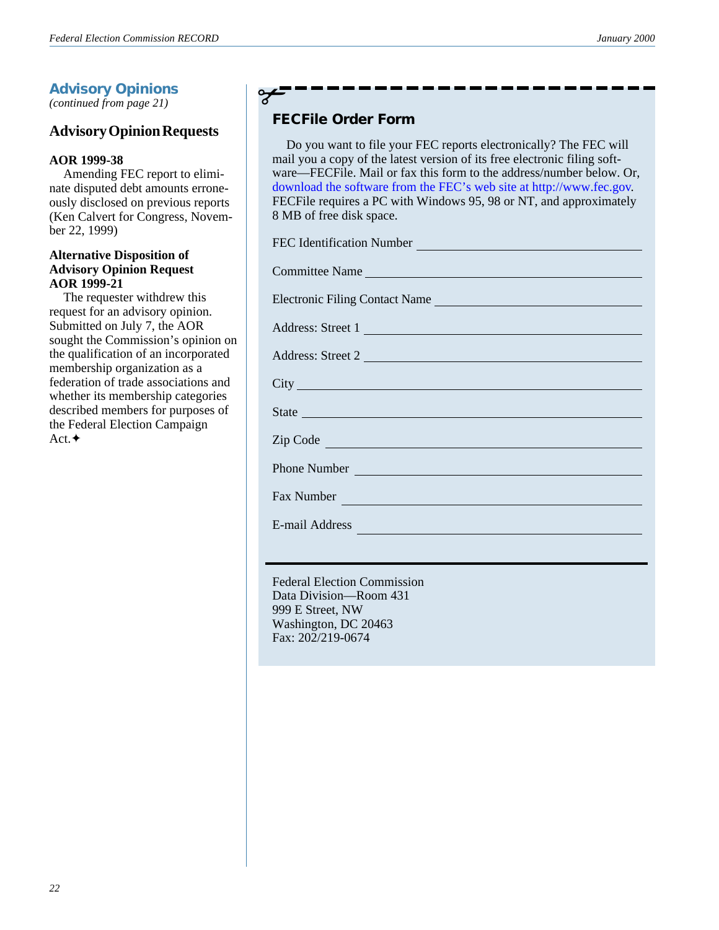# **Advisory Opinions**

*(continued from page 21)*

# **Advisory Opinion Requests**

### **AOR 1999-38**

Amending FEC report to eliminate disputed debt amounts erroneously disclosed on previous reports (Ken Calvert for Congress, November 22, 1999)

### **Alternative Disposition of Advisory Opinion Request AOR 1999-21**

The requester withdrew this request for an advisory opinion. Submitted on July 7, the AOR sought the Commission's opinion on the qualification of an incorporated membership organization as a federation of trade associations and whether its membership categories described members for purposes of the Federal Election Campaign Act.✦

# ✃

# **FECFile Order Form**

Do you want to file your FEC reports electronically? The FEC will mail you a copy of the latest version of its free electronic filing software—FECFile. Mail or fax this form to the address/number below. Or, download the software from the FEC's web site at http://www.fec.gov. FECFile requires a PC with Windows 95, 98 or NT, and approximately 8 MB of free disk space.

| FEC Identification Number                                                                                                                                                                                                      |
|--------------------------------------------------------------------------------------------------------------------------------------------------------------------------------------------------------------------------------|
| Committee Name                                                                                                                                                                                                                 |
| Electronic Filing Contact Name                                                                                                                                                                                                 |
| Address: Street 1                                                                                                                                                                                                              |
| Address: Street 2                                                                                                                                                                                                              |
|                                                                                                                                                                                                                                |
|                                                                                                                                                                                                                                |
| Zip Code                                                                                                                                                                                                                       |
| Phone Number                                                                                                                                                                                                                   |
| Fax Number and the contract of the contract of the contract of the contract of the contract of the contract of the contract of the contract of the contract of the contract of the contract of the contract of the contract of |
| E-mail Address                                                                                                                                                                                                                 |

Federal Election Commission Data Division—Room 431 999 E Street, NW Washington, DC 20463 Fax: 202/219-0674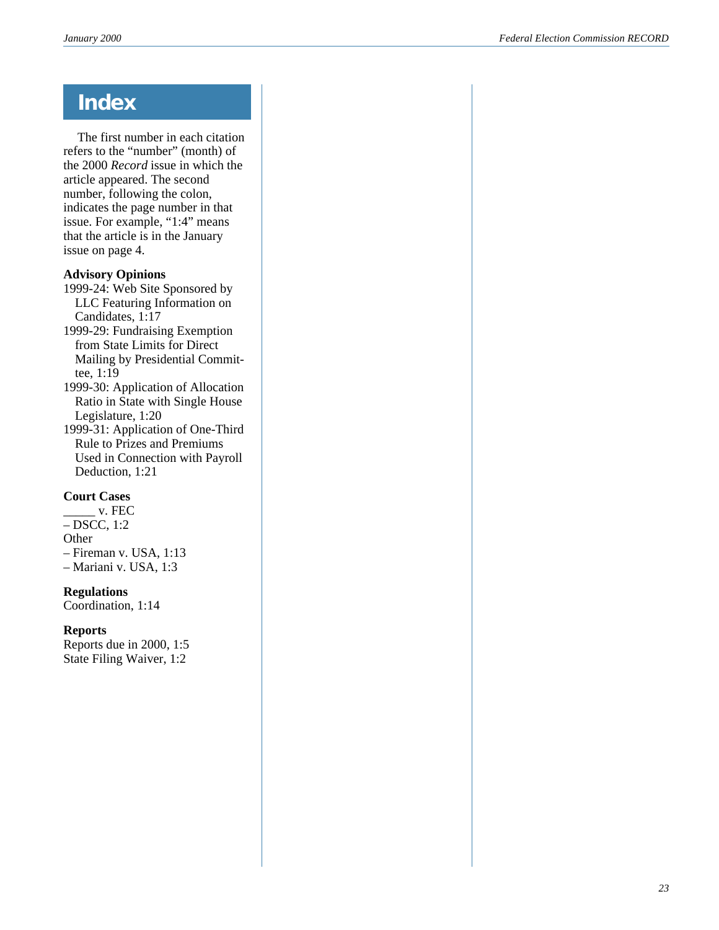# **Index**

The first number in each citation refers to the "number" (month) of the 2000 *Record* issue in which the article appeared. The second number, following the colon, indicates the page number in that issue. For example, "1:4" means that the article is in the January issue on page 4.

### **Advisory Opinions**

1999-24: Web Site Sponsored by LLC Featuring Information on Candidates, 1:17

1999-29: Fundraising Exemption from State Limits for Direct Mailing by Presidential Committee, 1:19

1999-30: Application of Allocation Ratio in State with Single House Legislature, 1:20

1999-31: Application of One-Third Rule to Prizes and Premiums Used in Connection with Payroll Deduction, 1:21

### **Court Cases**

 $\overline{\phantom{a}}$  v. FEC – DSCC, 1:2 **Other** – Fireman v. USA, 1:13 – Mariani v. USA, 1:3

**Regulations**

Coordination, 1:14

### **Reports**

Reports due in 2000, 1:5 State Filing Waiver, 1:2